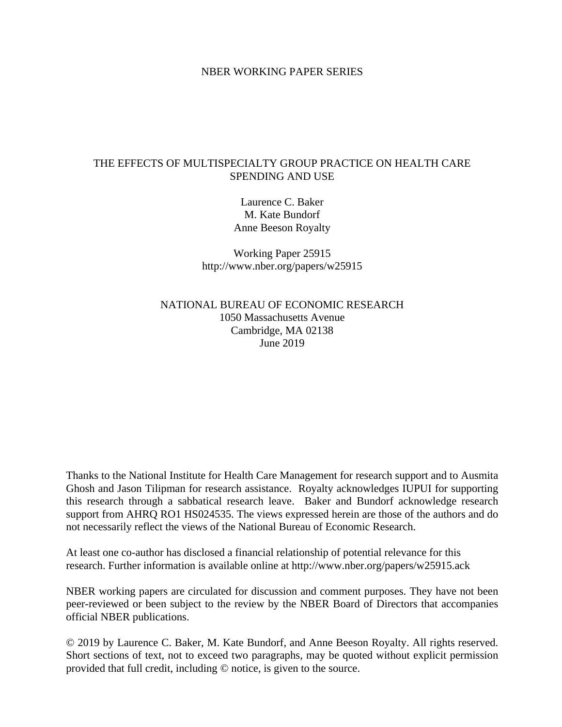# NBER WORKING PAPER SERIES

# THE EFFECTS OF MULTISPECIALTY GROUP PRACTICE ON HEALTH CARE SPENDING AND USE

Laurence C. Baker M. Kate Bundorf Anne Beeson Royalty

Working Paper 25915 http://www.nber.org/papers/w25915

NATIONAL BUREAU OF ECONOMIC RESEARCH 1050 Massachusetts Avenue Cambridge, MA 02138 June 2019

Thanks to the National Institute for Health Care Management for research support and to Ausmita Ghosh and Jason Tilipman for research assistance. Royalty acknowledges IUPUI for supporting this research through a sabbatical research leave. Baker and Bundorf acknowledge research support from AHRQ RO1 HS024535. The views expressed herein are those of the authors and do not necessarily reflect the views of the National Bureau of Economic Research.

At least one co-author has disclosed a financial relationship of potential relevance for this research. Further information is available online at http://www.nber.org/papers/w25915.ack

NBER working papers are circulated for discussion and comment purposes. They have not been peer-reviewed or been subject to the review by the NBER Board of Directors that accompanies official NBER publications.

© 2019 by Laurence C. Baker, M. Kate Bundorf, and Anne Beeson Royalty. All rights reserved. Short sections of text, not to exceed two paragraphs, may be quoted without explicit permission provided that full credit, including © notice, is given to the source.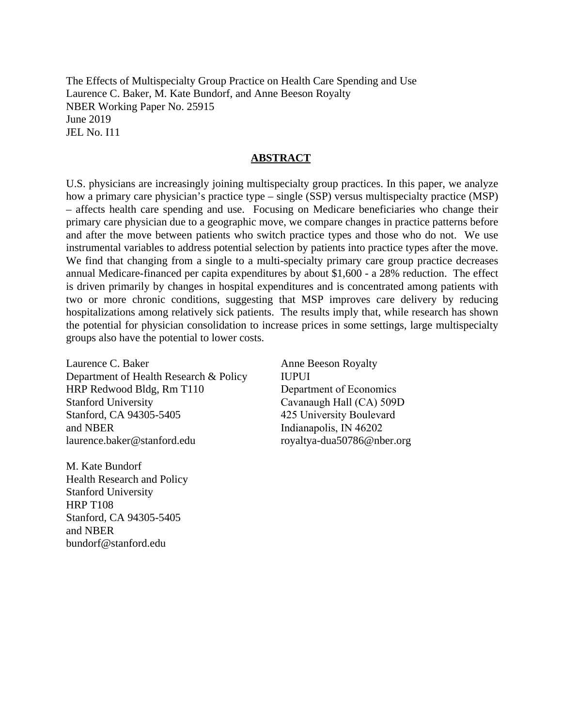The Effects of Multispecialty Group Practice on Health Care Spending and Use Laurence C. Baker, M. Kate Bundorf, and Anne Beeson Royalty NBER Working Paper No. 25915 June 2019 JEL No. I11

# **ABSTRACT**

U.S. physicians are increasingly joining multispecialty group practices. In this paper, we analyze how a primary care physician's practice type – single (SSP) versus multispecialty practice (MSP) – affects health care spending and use. Focusing on Medicare beneficiaries who change their primary care physician due to a geographic move, we compare changes in practice patterns before and after the move between patients who switch practice types and those who do not. We use instrumental variables to address potential selection by patients into practice types after the move. We find that changing from a single to a multi-specialty primary care group practice decreases annual Medicare-financed per capita expenditures by about \$1,600 - a 28% reduction. The effect is driven primarily by changes in hospital expenditures and is concentrated among patients with two or more chronic conditions, suggesting that MSP improves care delivery by reducing hospitalizations among relatively sick patients. The results imply that, while research has shown the potential for physician consolidation to increase prices in some settings, large multispecialty groups also have the potential to lower costs.

Laurence C. Baker Department of Health Research & Policy HRP Redwood Bldg, Rm T110 Stanford University Stanford, CA 94305-5405 and NBER laurence.baker@stanford.edu

M. Kate Bundorf Health Research and Policy Stanford University HRP T108 Stanford, CA 94305-5405 and NBER bundorf@stanford.edu

Anne Beeson Royalty IUPUI Department of Economics Cavanaugh Hall (CA) 509D 425 University Boulevard Indianapolis, IN 46202 royaltya-dua50786@nber.org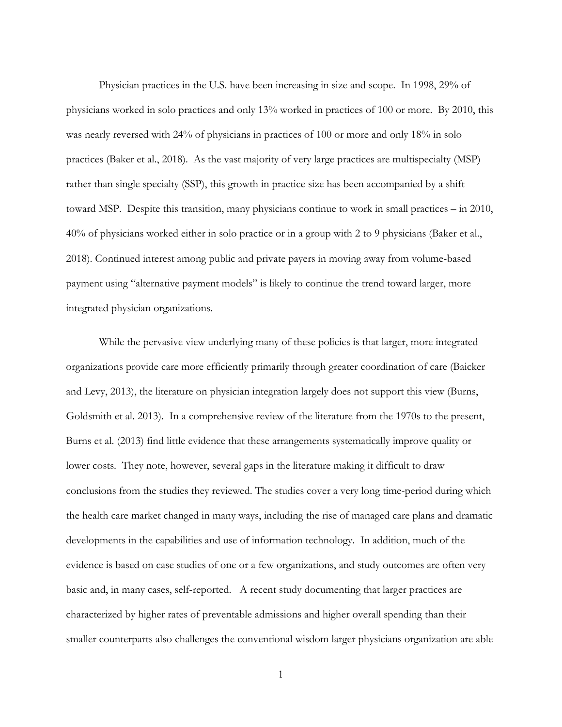Physician practices in the U.S. have been increasing in size and scope. In 1998, 29% of physicians worked in solo practices and only 13% worked in practices of 100 or more. By 2010, this was nearly reversed with 24% of physicians in practices of 100 or more and only 18% in solo practices (Baker et al., 2018). As the vast majority of very large practices are multispecialty (MSP) rather than single specialty (SSP), this growth in practice size has been accompanied by a shift toward MSP. Despite this transition, many physicians continue to work in small practices – in 2010, 40% of physicians worked either in solo practice or in a group with 2 to 9 physicians (Baker et al., 2018). Continued interest among public and private payers in moving away from volume-based payment using "alternative payment models" is likely to continue the trend toward larger, more integrated physician organizations.

While the pervasive view underlying many of these policies is that larger, more integrated organizations provide care more efficiently primarily through greater coordination of care (Baicker and Levy, 2013), the literature on physician integration largely does not support this view (Burns, Goldsmith et al. 2013). In a comprehensive review of the literature from the 1970s to the present, Burns et al. (2013) find little evidence that these arrangements systematically improve quality or lower costs. They note, however, several gaps in the literature making it difficult to draw conclusions from the studies they reviewed. The studies cover a very long time-period during which the health care market changed in many ways, including the rise of managed care plans and dramatic developments in the capabilities and use of information technology. In addition, much of the evidence is based on case studies of one or a few organizations, and study outcomes are often very basic and, in many cases, self-reported. A recent study documenting that larger practices are characterized by higher rates of preventable admissions and higher overall spending than their smaller counterparts also challenges the conventional wisdom larger physicians organization are able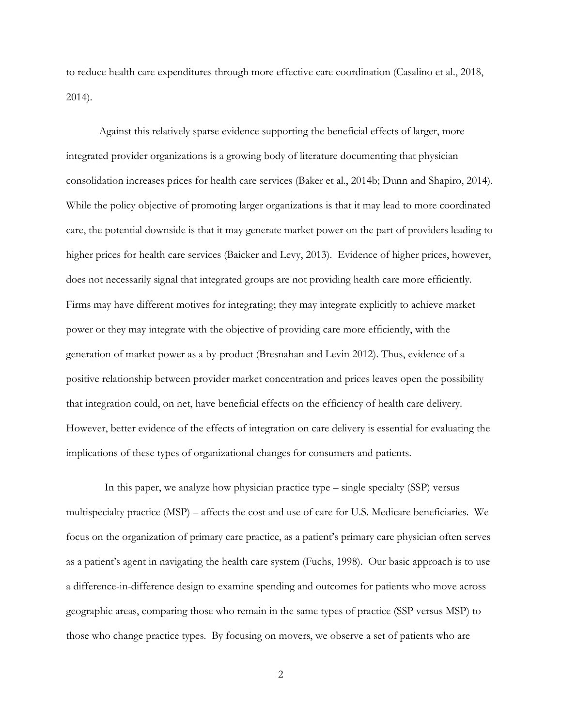to reduce health care expenditures through more effective care coordination (Casalino et al., 2018, 2014).

Against this relatively sparse evidence supporting the beneficial effects of larger, more integrated provider organizations is a growing body of literature documenting that physician consolidation increases prices for health care services (Baker et al., 2014b; Dunn and Shapiro, 2014). While the policy objective of promoting larger organizations is that it may lead to more coordinated care, the potential downside is that it may generate market power on the part of providers leading to higher prices for health care services (Baicker and Levy, 2013). Evidence of higher prices, however, does not necessarily signal that integrated groups are not providing health care more efficiently. Firms may have different motives for integrating; they may integrate explicitly to achieve market power or they may integrate with the objective of providing care more efficiently, with the generation of market power as a by-product (Bresnahan and Levin 2012). Thus, evidence of a positive relationship between provider market concentration and prices leaves open the possibility that integration could, on net, have beneficial effects on the efficiency of health care delivery. However, better evidence of the effects of integration on care delivery is essential for evaluating the implications of these types of organizational changes for consumers and patients.

 In this paper, we analyze how physician practice type – single specialty (SSP) versus multispecialty practice (MSP) – affects the cost and use of care for U.S. Medicare beneficiaries. We focus on the organization of primary care practice, as a patient's primary care physician often serves as a patient's agent in navigating the health care system (Fuchs, 1998). Our basic approach is to use a difference-in-difference design to examine spending and outcomes for patients who move across geographic areas, comparing those who remain in the same types of practice (SSP versus MSP) to those who change practice types. By focusing on movers, we observe a set of patients who are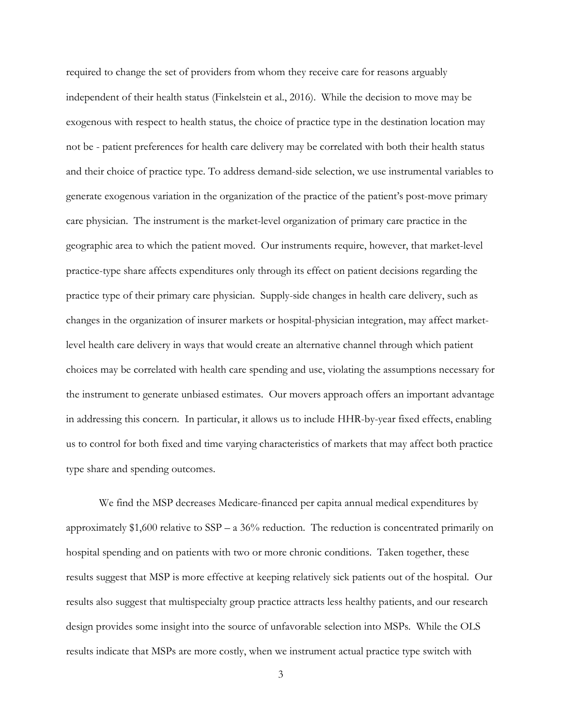required to change the set of providers from whom they receive care for reasons arguably independent of their health status (Finkelstein et al., 2016). While the decision to move may be exogenous with respect to health status, the choice of practice type in the destination location may not be - patient preferences for health care delivery may be correlated with both their health status and their choice of practice type. To address demand-side selection, we use instrumental variables to generate exogenous variation in the organization of the practice of the patient's post-move primary care physician. The instrument is the market-level organization of primary care practice in the geographic area to which the patient moved. Our instruments require, however, that market-level practice-type share affects expenditures only through its effect on patient decisions regarding the practice type of their primary care physician. Supply-side changes in health care delivery, such as changes in the organization of insurer markets or hospital-physician integration, may affect marketlevel health care delivery in ways that would create an alternative channel through which patient choices may be correlated with health care spending and use, violating the assumptions necessary for the instrument to generate unbiased estimates. Our movers approach offers an important advantage in addressing this concern. In particular, it allows us to include HHR-by-year fixed effects, enabling us to control for both fixed and time varying characteristics of markets that may affect both practice type share and spending outcomes.

We find the MSP decreases Medicare-financed per capita annual medical expenditures by approximately \$1,600 relative to SSP – a 36% reduction. The reduction is concentrated primarily on hospital spending and on patients with two or more chronic conditions. Taken together, these results suggest that MSP is more effective at keeping relatively sick patients out of the hospital. Our results also suggest that multispecialty group practice attracts less healthy patients, and our research design provides some insight into the source of unfavorable selection into MSPs. While the OLS results indicate that MSPs are more costly, when we instrument actual practice type switch with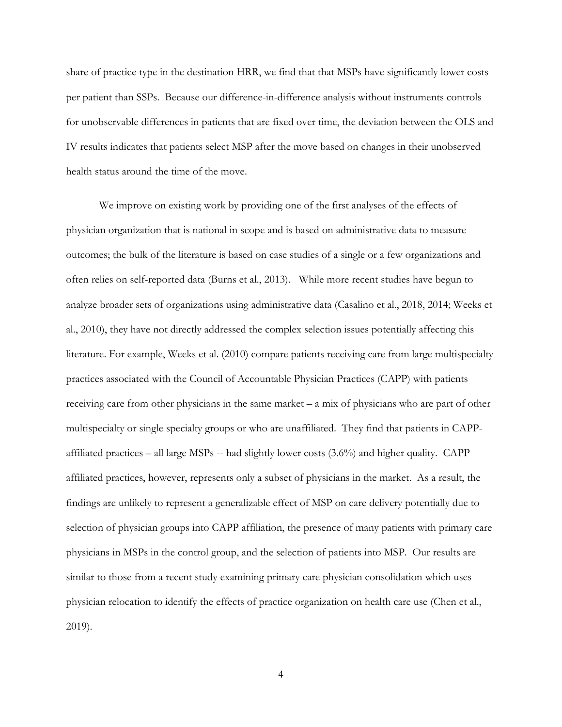share of practice type in the destination HRR, we find that that MSPs have significantly lower costs per patient than SSPs. Because our difference-in-difference analysis without instruments controls for unobservable differences in patients that are fixed over time, the deviation between the OLS and IV results indicates that patients select MSP after the move based on changes in their unobserved health status around the time of the move.

We improve on existing work by providing one of the first analyses of the effects of physician organization that is national in scope and is based on administrative data to measure outcomes; the bulk of the literature is based on case studies of a single or a few organizations and often relies on self-reported data (Burns et al., 2013). While more recent studies have begun to analyze broader sets of organizations using administrative data (Casalino et al., 2018, 2014; Weeks et al., 2010), they have not directly addressed the complex selection issues potentially affecting this literature. For example, Weeks et al. (2010) compare patients receiving care from large multispecialty practices associated with the Council of Accountable Physician Practices (CAPP) with patients receiving care from other physicians in the same market – a mix of physicians who are part of other multispecialty or single specialty groups or who are unaffiliated. They find that patients in CAPPaffiliated practices – all large MSPs -- had slightly lower costs (3.6%) and higher quality. CAPP affiliated practices, however, represents only a subset of physicians in the market. As a result, the findings are unlikely to represent a generalizable effect of MSP on care delivery potentially due to selection of physician groups into CAPP affiliation, the presence of many patients with primary care physicians in MSPs in the control group, and the selection of patients into MSP. Our results are similar to those from a recent study examining primary care physician consolidation which uses physician relocation to identify the effects of practice organization on health care use (Chen et al., 2019).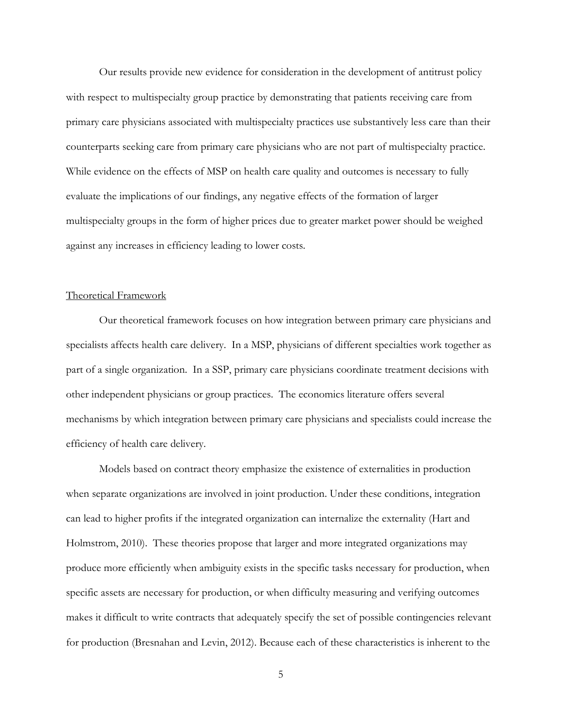Our results provide new evidence for consideration in the development of antitrust policy with respect to multispecialty group practice by demonstrating that patients receiving care from primary care physicians associated with multispecialty practices use substantively less care than their counterparts seeking care from primary care physicians who are not part of multispecialty practice. While evidence on the effects of MSP on health care quality and outcomes is necessary to fully evaluate the implications of our findings, any negative effects of the formation of larger multispecialty groups in the form of higher prices due to greater market power should be weighed against any increases in efficiency leading to lower costs.

### Theoretical Framework

Our theoretical framework focuses on how integration between primary care physicians and specialists affects health care delivery. In a MSP, physicians of different specialties work together as part of a single organization. In a SSP, primary care physicians coordinate treatment decisions with other independent physicians or group practices. The economics literature offers several mechanisms by which integration between primary care physicians and specialists could increase the efficiency of health care delivery.

Models based on contract theory emphasize the existence of externalities in production when separate organizations are involved in joint production. Under these conditions, integration can lead to higher profits if the integrated organization can internalize the externality (Hart and Holmstrom, 2010). These theories propose that larger and more integrated organizations may produce more efficiently when ambiguity exists in the specific tasks necessary for production, when specific assets are necessary for production, or when difficulty measuring and verifying outcomes makes it difficult to write contracts that adequately specify the set of possible contingencies relevant for production (Bresnahan and Levin, 2012). Because each of these characteristics is inherent to the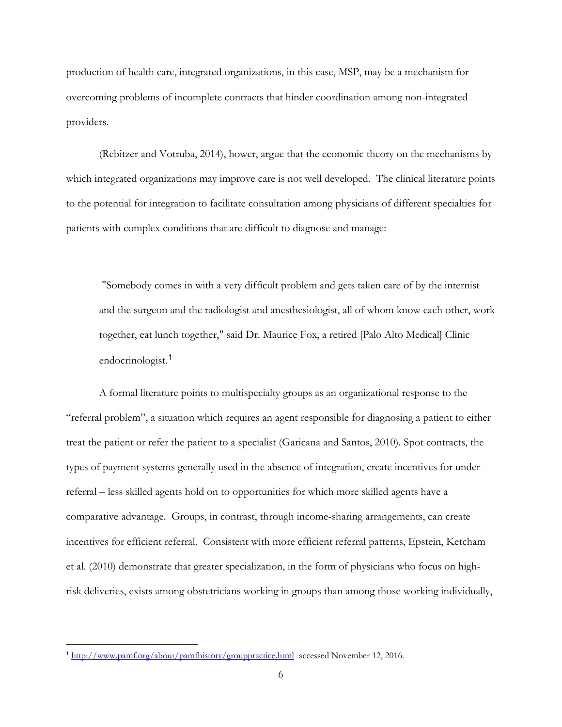production of health care, integrated organizations, in this case, MSP, may be a mechanism for overcoming problems of incomplete contracts that hinder coordination among non-integrated providers.

(Rebitzer and Votruba, 2014), hower, argue that the economic theory on the mechanisms by which integrated organizations may improve care is not well developed. The clinical literature points to the potential for integration to facilitate consultation among physicians of different specialties for patients with complex conditions that are difficult to diagnose and manage:

"Somebody comes in with a very difficult problem and gets taken care of by the internist and the surgeon and the radiologist and anesthesiologist, all of whom know each other, work together, eat lunch together," said Dr. Maurice Fox, a retired [Palo Alto Medical] Clinic endocrinologist.<sup>[1](#page-7-0)</sup>

A formal literature points to multispecialty groups as an organizational response to the "referral problem", a situation which requires an agent responsible for diagnosing a patient to either treat the patient or refer the patient to a specialist (Garicana and Santos, 2010). Spot contracts, the types of payment systems generally used in the absence of integration, create incentives for underreferral – less skilled agents hold on to opportunities for which more skilled agents have a comparative advantage. Groups, in contrast, through income-sharing arrangements, can create incentives for efficient referral. Consistent with more efficient referral patterns, Epstein, Ketcham et al. (2010) demonstrate that greater specialization, in the form of physicians who focus on highrisk deliveries, exists among obstetricians working in groups than among those working individually,

<span id="page-7-0"></span> <sup>1</sup> <http://www.pamf.org/about/pamfhistory/grouppractice.html>accessed November 12, 2016.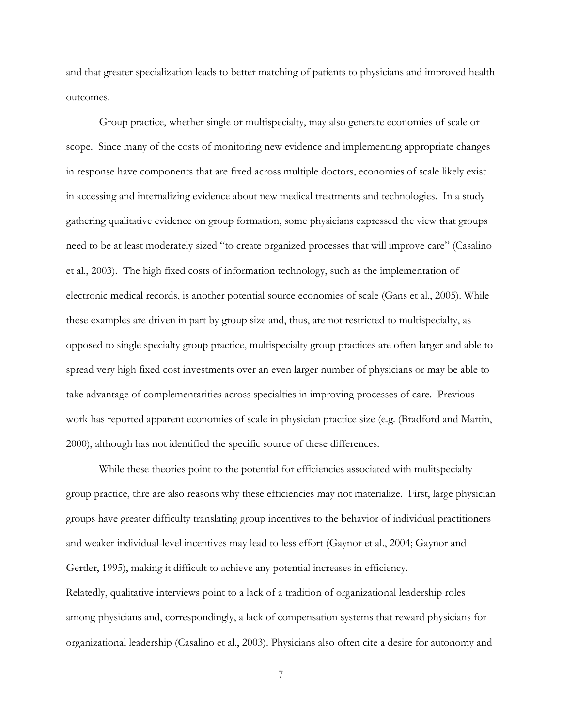and that greater specialization leads to better matching of patients to physicians and improved health outcomes.

Group practice, whether single or multispecialty, may also generate economies of scale or scope. Since many of the costs of monitoring new evidence and implementing appropriate changes in response have components that are fixed across multiple doctors, economies of scale likely exist in accessing and internalizing evidence about new medical treatments and technologies. In a study gathering qualitative evidence on group formation, some physicians expressed the view that groups need to be at least moderately sized "to create organized processes that will improve care" (Casalino et al., 2003). The high fixed costs of information technology, such as the implementation of electronic medical records, is another potential source economies of scale (Gans et al., 2005). While these examples are driven in part by group size and, thus, are not restricted to multispecialty, as opposed to single specialty group practice, multispecialty group practices are often larger and able to spread very high fixed cost investments over an even larger number of physicians or may be able to take advantage of complementarities across specialties in improving processes of care. Previous work has reported apparent economies of scale in physician practice size (e.g. (Bradford and Martin, 2000), although has not identified the specific source of these differences.

While these theories point to the potential for efficiencies associated with mulitspecialty group practice, thre are also reasons why these efficiencies may not materialize. First, large physician groups have greater difficulty translating group incentives to the behavior of individual practitioners and weaker individual-level incentives may lead to less effort (Gaynor et al., 2004; Gaynor and Gertler, 1995), making it difficult to achieve any potential increases in efficiency. Relatedly, qualitative interviews point to a lack of a tradition of organizational leadership roles among physicians and, correspondingly, a lack of compensation systems that reward physicians for organizational leadership (Casalino et al., 2003). Physicians also often cite a desire for autonomy and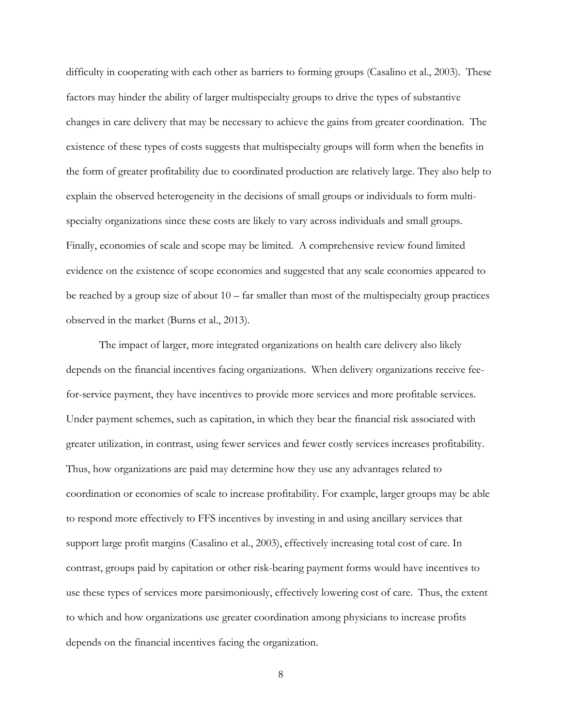difficulty in cooperating with each other as barriers to forming groups (Casalino et al., 2003). These factors may hinder the ability of larger multispecialty groups to drive the types of substantive changes in care delivery that may be necessary to achieve the gains from greater coordination. The existence of these types of costs suggests that multispecialty groups will form when the benefits in the form of greater profitability due to coordinated production are relatively large. They also help to explain the observed heterogeneity in the decisions of small groups or individuals to form multispecialty organizations since these costs are likely to vary across individuals and small groups. Finally, economies of scale and scope may be limited. A comprehensive review found limited evidence on the existence of scope economies and suggested that any scale economies appeared to be reached by a group size of about  $10 - \text{far smaller than most of the multispecially group practices}$ observed in the market (Burns et al., 2013).

The impact of larger, more integrated organizations on health care delivery also likely depends on the financial incentives facing organizations. When delivery organizations receive feefor-service payment, they have incentives to provide more services and more profitable services. Under payment schemes, such as capitation, in which they bear the financial risk associated with greater utilization, in contrast, using fewer services and fewer costly services increases profitability. Thus, how organizations are paid may determine how they use any advantages related to coordination or economies of scale to increase profitability. For example, larger groups may be able to respond more effectively to FFS incentives by investing in and using ancillary services that support large profit margins (Casalino et al., 2003), effectively increasing total cost of care. In contrast, groups paid by capitation or other risk-bearing payment forms would have incentives to use these types of services more parsimoniously, effectively lowering cost of care. Thus, the extent to which and how organizations use greater coordination among physicians to increase profits depends on the financial incentives facing the organization.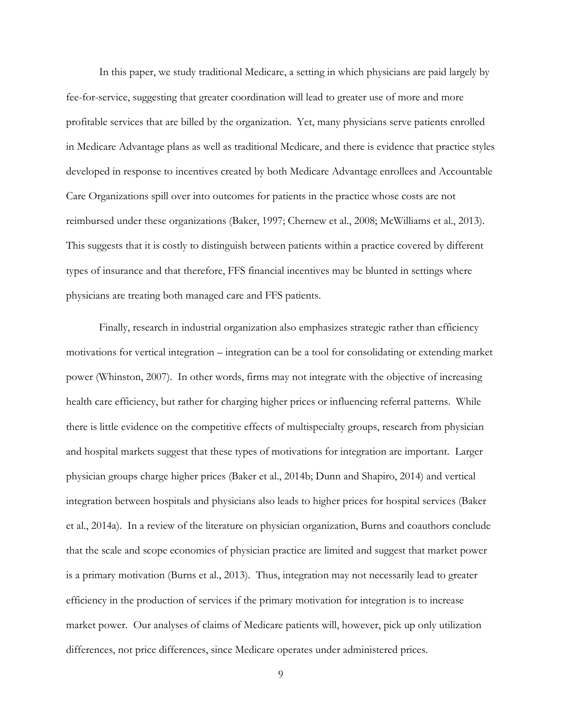In this paper, we study traditional Medicare, a setting in which physicians are paid largely by fee-for-service, suggesting that greater coordination will lead to greater use of more and more profitable services that are billed by the organization. Yet, many physicians serve patients enrolled in Medicare Advantage plans as well as traditional Medicare, and there is evidence that practice styles developed in response to incentives created by both Medicare Advantage enrollees and Accountable Care Organizations spill over into outcomes for patients in the practice whose costs are not reimbursed under these organizations (Baker, 1997; Chernew et al., 2008; McWilliams et al., 2013). This suggests that it is costly to distinguish between patients within a practice covered by different types of insurance and that therefore, FFS financial incentives may be blunted in settings where physicians are treating both managed care and FFS patients.

Finally, research in industrial organization also emphasizes strategic rather than efficiency motivations for vertical integration – integration can be a tool for consolidating or extending market power (Whinston, 2007). In other words, firms may not integrate with the objective of increasing health care efficiency, but rather for charging higher prices or influencing referral patterns. While there is little evidence on the competitive effects of multispecialty groups, research from physician and hospital markets suggest that these types of motivations for integration are important. Larger physician groups charge higher prices (Baker et al., 2014b; Dunn and Shapiro, 2014) and vertical integration between hospitals and physicians also leads to higher prices for hospital services (Baker et al., 2014a). In a review of the literature on physician organization, Burns and coauthors conclude that the scale and scope economies of physician practice are limited and suggest that market power is a primary motivation (Burns et al., 2013). Thus, integration may not necessarily lead to greater efficiency in the production of services if the primary motivation for integration is to increase market power. Our analyses of claims of Medicare patients will, however, pick up only utilization differences, not price differences, since Medicare operates under administered prices.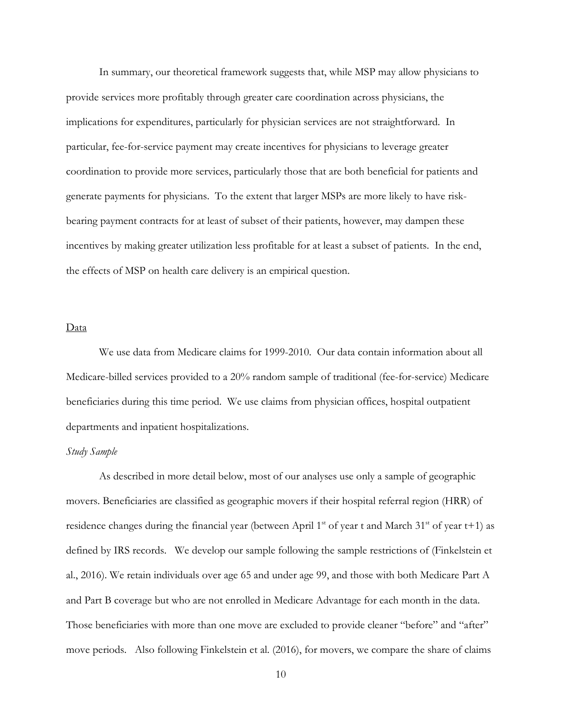In summary, our theoretical framework suggests that, while MSP may allow physicians to provide services more profitably through greater care coordination across physicians, the implications for expenditures, particularly for physician services are not straightforward. In particular, fee-for-service payment may create incentives for physicians to leverage greater coordination to provide more services, particularly those that are both beneficial for patients and generate payments for physicians. To the extent that larger MSPs are more likely to have riskbearing payment contracts for at least of subset of their patients, however, may dampen these incentives by making greater utilization less profitable for at least a subset of patients. In the end, the effects of MSP on health care delivery is an empirical question.

### Data

We use data from Medicare claims for 1999-2010. Our data contain information about all Medicare-billed services provided to a 20% random sample of traditional (fee-for-service) Medicare beneficiaries during this time period. We use claims from physician offices, hospital outpatient departments and inpatient hospitalizations.

### *Study Sample*

As described in more detail below, most of our analyses use only a sample of geographic movers. Beneficiaries are classified as geographic movers if their hospital referral region (HRR) of residence changes during the financial year (between April  $1<sup>st</sup>$  of year t and March  $31<sup>st</sup>$  of year t+1) as defined by IRS records. We develop our sample following the sample restrictions of (Finkelstein et al., 2016). We retain individuals over age 65 and under age 99, and those with both Medicare Part A and Part B coverage but who are not enrolled in Medicare Advantage for each month in the data. Those beneficiaries with more than one move are excluded to provide cleaner "before" and "after" move periods. Also following Finkelstein et al. (2016), for movers, we compare the share of claims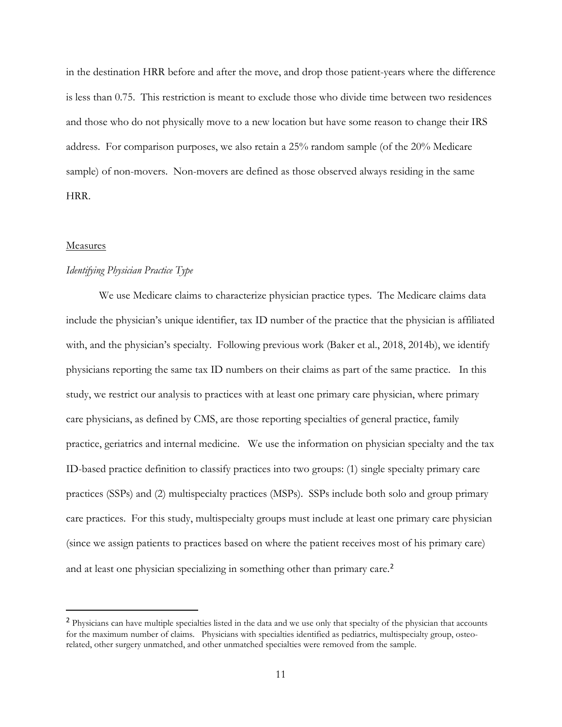in the destination HRR before and after the move, and drop those patient-years where the difference is less than 0.75. This restriction is meant to exclude those who divide time between two residences and those who do not physically move to a new location but have some reason to change their IRS address. For comparison purposes, we also retain a 25% random sample (of the 20% Medicare sample) of non-movers. Non-movers are defined as those observed always residing in the same HRR.

#### Measures

### *Identifying Physician Practice Type*

We use Medicare claims to characterize physician practice types. The Medicare claims data include the physician's unique identifier, tax ID number of the practice that the physician is affiliated with, and the physician's specialty. Following previous work (Baker et al., 2018, 2014b), we identify physicians reporting the same tax ID numbers on their claims as part of the same practice. In this study, we restrict our analysis to practices with at least one primary care physician, where primary care physicians, as defined by CMS, are those reporting specialties of general practice, family practice, geriatrics and internal medicine. We use the information on physician specialty and the tax ID-based practice definition to classify practices into two groups: (1) single specialty primary care practices (SSPs) and (2) multispecialty practices (MSPs). SSPs include both solo and group primary care practices. For this study, multispecialty groups must include at least one primary care physician (since we assign patients to practices based on where the patient receives most of his primary care) and at least one physician specializing in something other than primary care.<sup>[2](#page-12-0)</sup>

<span id="page-12-0"></span><sup>&</sup>lt;sup>2</sup> Physicians can have multiple specialties listed in the data and we use only that specialty of the physician that accounts for the maximum number of claims. Physicians with specialties identified as pediatrics, multispecialty group, osteorelated, other surgery unmatched, and other unmatched specialties were removed from the sample.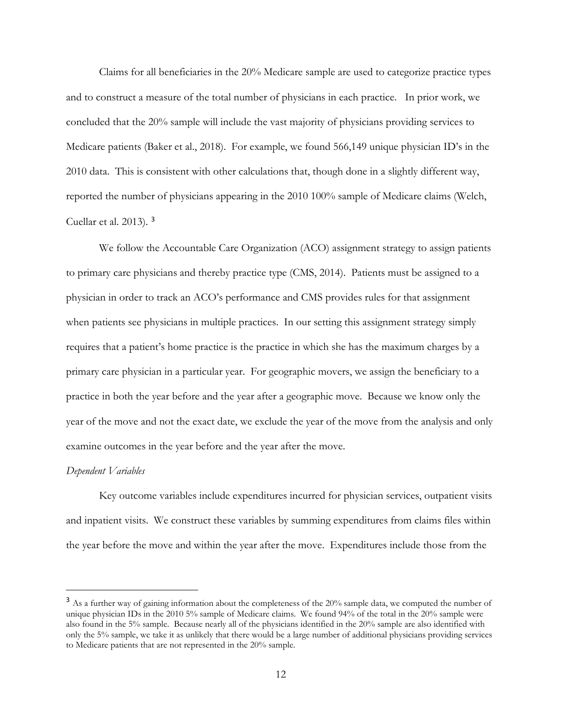Claims for all beneficiaries in the 20% Medicare sample are used to categorize practice types and to construct a measure of the total number of physicians in each practice. In prior work, we concluded that the 20% sample will include the vast majority of physicians providing services to Medicare patients (Baker et al., 2018). For example, we found 566,149 unique physician ID's in the 2010 data. This is consistent with other calculations that, though done in a slightly different way, reported the number of physicians appearing in the 2010 100% sample of Medicare claims (Welch, Cuellar et al. 2013). [3](#page-13-0)

We follow the Accountable Care Organization (ACO) assignment strategy to assign patients to primary care physicians and thereby practice type (CMS, 2014). Patients must be assigned to a physician in order to track an ACO's performance and CMS provides rules for that assignment when patients see physicians in multiple practices. In our setting this assignment strategy simply requires that a patient's home practice is the practice in which she has the maximum charges by a primary care physician in a particular year. For geographic movers, we assign the beneficiary to a practice in both the year before and the year after a geographic move. Because we know only the year of the move and not the exact date, we exclude the year of the move from the analysis and only examine outcomes in the year before and the year after the move.

#### *Dependent Variables*

Key outcome variables include expenditures incurred for physician services, outpatient visits and inpatient visits. We construct these variables by summing expenditures from claims files within the year before the move and within the year after the move. Expenditures include those from the

<span id="page-13-0"></span><sup>&</sup>lt;sup>3</sup> As a further way of gaining information about the completeness of the 20% sample data, we computed the number of unique physician IDs in the 2010 5% sample of Medicare claims. We found 94% of the total in the 20% sample were also found in the 5% sample. Because nearly all of the physicians identified in the 20% sample are also identified with only the 5% sample, we take it as unlikely that there would be a large number of additional physicians providing services to Medicare patients that are not represented in the 20% sample.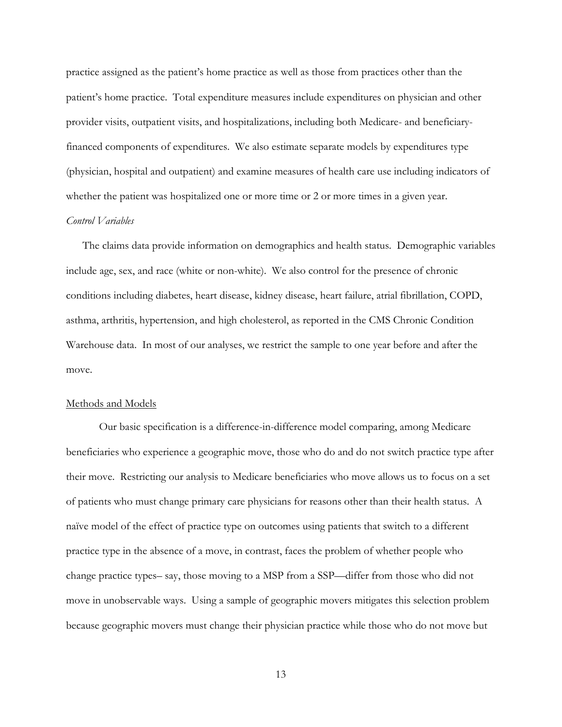practice assigned as the patient's home practice as well as those from practices other than the patient's home practice. Total expenditure measures include expenditures on physician and other provider visits, outpatient visits, and hospitalizations, including both Medicare- and beneficiaryfinanced components of expenditures. We also estimate separate models by expenditures type (physician, hospital and outpatient) and examine measures of health care use including indicators of whether the patient was hospitalized one or more time or 2 or more times in a given year.

#### *Control Variables*

The claims data provide information on demographics and health status. Demographic variables include age, sex, and race (white or non-white). We also control for the presence of chronic conditions including diabetes, heart disease, kidney disease, heart failure, atrial fibrillation, COPD, asthma, arthritis, hypertension, and high cholesterol, as reported in the CMS Chronic Condition Warehouse data. In most of our analyses, we restrict the sample to one year before and after the move.

# Methods and Models

Our basic specification is a difference-in-difference model comparing, among Medicare beneficiaries who experience a geographic move, those who do and do not switch practice type after their move. Restricting our analysis to Medicare beneficiaries who move allows us to focus on a set of patients who must change primary care physicians for reasons other than their health status. A naïve model of the effect of practice type on outcomes using patients that switch to a different practice type in the absence of a move, in contrast, faces the problem of whether people who change practice types– say, those moving to a MSP from a SSP—differ from those who did not move in unobservable ways. Using a sample of geographic movers mitigates this selection problem because geographic movers must change their physician practice while those who do not move but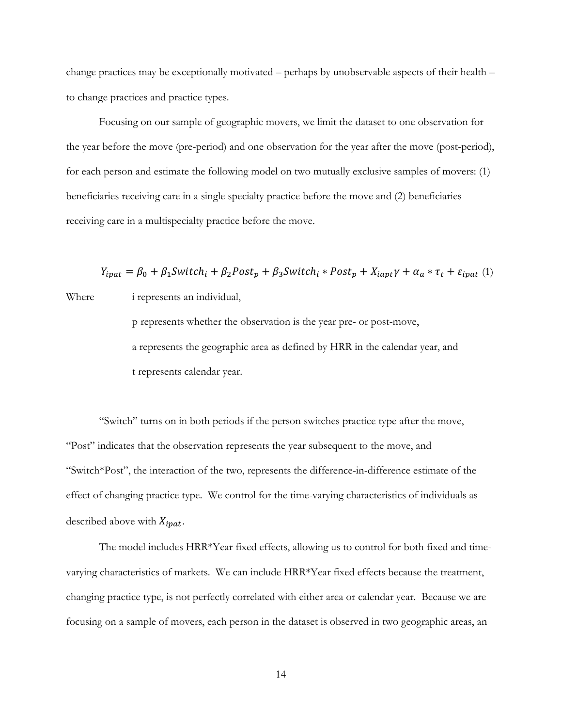change practices may be exceptionally motivated – perhaps by unobservable aspects of their health – to change practices and practice types.

Focusing on our sample of geographic movers, we limit the dataset to one observation for the year before the move (pre-period) and one observation for the year after the move (post-period), for each person and estimate the following model on two mutually exclusive samples of movers: (1) beneficiaries receiving care in a single specialty practice before the move and (2) beneficiaries receiving care in a multispecialty practice before the move.

 $Y_{ipat} = \beta_0 + \beta_1$ Switch<sub>i</sub> +  $\beta_2$ Post<sub>p</sub> +  $\beta_3$ Switch<sub>i</sub> \* Post<sub>p</sub> +  $X_{iapt}$ Y +  $\alpha_a * \tau_t$  +  $\varepsilon_{ipat}$  (1) Where i represents an individual, p represents whether the observation is the year pre- or post-move, a represents the geographic area as defined by HRR in the calendar year, and

t represents calendar year.

"Switch" turns on in both periods if the person switches practice type after the move, "Post" indicates that the observation represents the year subsequent to the move, and "Switch\*Post", the interaction of the two, represents the difference-in-difference estimate of the effect of changing practice type. We control for the time-varying characteristics of individuals as described above with  $X_{ipat}$ .

The model includes HRR\*Year fixed effects, allowing us to control for both fixed and timevarying characteristics of markets. We can include HRR\*Year fixed effects because the treatment, changing practice type, is not perfectly correlated with either area or calendar year. Because we are focusing on a sample of movers, each person in the dataset is observed in two geographic areas, an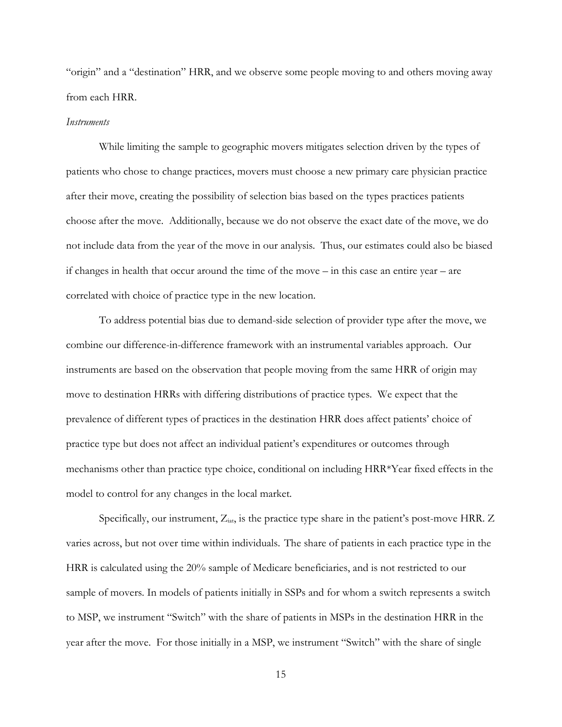"origin" and a "destination" HRR, and we observe some people moving to and others moving away from each HRR.

### *Instruments*

While limiting the sample to geographic movers mitigates selection driven by the types of patients who chose to change practices, movers must choose a new primary care physician practice after their move, creating the possibility of selection bias based on the types practices patients choose after the move. Additionally, because we do not observe the exact date of the move, we do not include data from the year of the move in our analysis. Thus, our estimates could also be biased if changes in health that occur around the time of the move – in this case an entire year – are correlated with choice of practice type in the new location.

To address potential bias due to demand-side selection of provider type after the move, we combine our difference-in-difference framework with an instrumental variables approach. Our instruments are based on the observation that people moving from the same HRR of origin may move to destination HRRs with differing distributions of practice types. We expect that the prevalence of different types of practices in the destination HRR does affect patients' choice of practice type but does not affect an individual patient's expenditures or outcomes through mechanisms other than practice type choice, conditional on including HRR\*Year fixed effects in the model to control for any changes in the local market.

Specifically, our instrument, Z<sub>iat</sub>, is the practice type share in the patient's post-move HRR. Z varies across, but not over time within individuals. The share of patients in each practice type in the HRR is calculated using the 20% sample of Medicare beneficiaries, and is not restricted to our sample of movers. In models of patients initially in SSPs and for whom a switch represents a switch to MSP, we instrument "Switch" with the share of patients in MSPs in the destination HRR in the year after the move. For those initially in a MSP, we instrument "Switch" with the share of single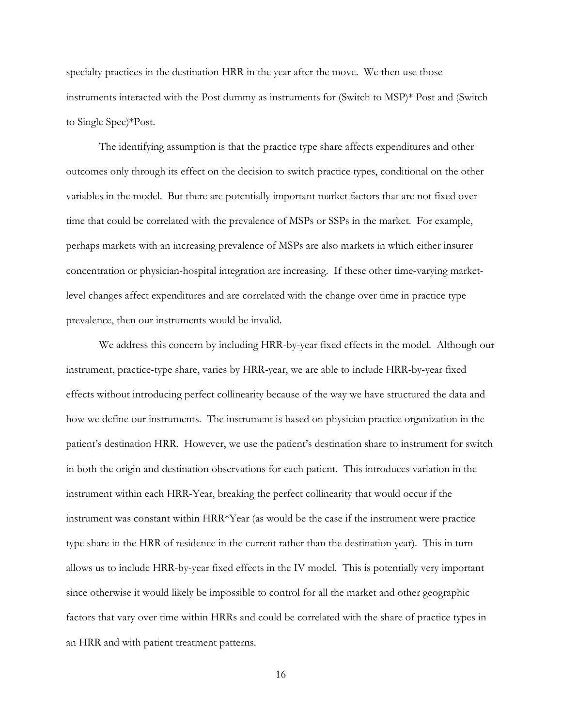specialty practices in the destination HRR in the year after the move. We then use those instruments interacted with the Post dummy as instruments for (Switch to MSP)\* Post and (Switch to Single Spec)\*Post.

The identifying assumption is that the practice type share affects expenditures and other outcomes only through its effect on the decision to switch practice types, conditional on the other variables in the model. But there are potentially important market factors that are not fixed over time that could be correlated with the prevalence of MSPs or SSPs in the market. For example, perhaps markets with an increasing prevalence of MSPs are also markets in which either insurer concentration or physician-hospital integration are increasing. If these other time-varying marketlevel changes affect expenditures and are correlated with the change over time in practice type prevalence, then our instruments would be invalid.

We address this concern by including HRR-by-year fixed effects in the model. Although our instrument, practice-type share, varies by HRR-year, we are able to include HRR-by-year fixed effects without introducing perfect collinearity because of the way we have structured the data and how we define our instruments. The instrument is based on physician practice organization in the patient's destination HRR. However, we use the patient's destination share to instrument for switch in both the origin and destination observations for each patient. This introduces variation in the instrument within each HRR-Year, breaking the perfect collinearity that would occur if the instrument was constant within HRR\*Year (as would be the case if the instrument were practice type share in the HRR of residence in the current rather than the destination year). This in turn allows us to include HRR-by-year fixed effects in the IV model. This is potentially very important since otherwise it would likely be impossible to control for all the market and other geographic factors that vary over time within HRRs and could be correlated with the share of practice types in an HRR and with patient treatment patterns.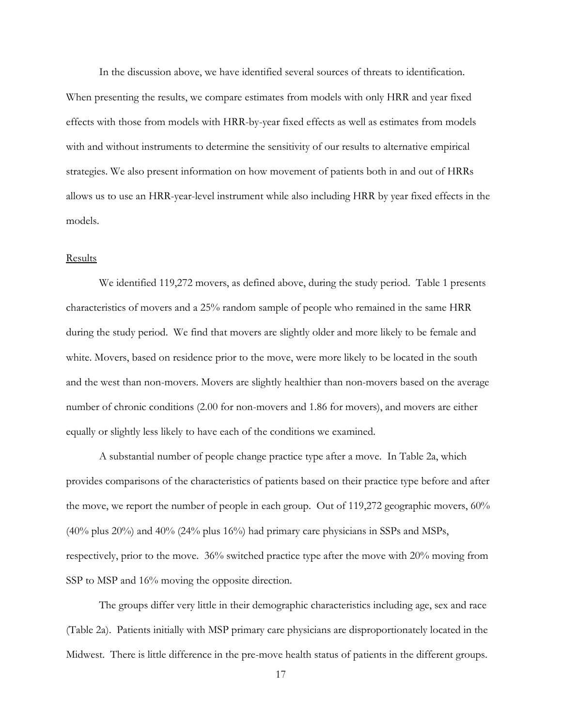In the discussion above, we have identified several sources of threats to identification. When presenting the results, we compare estimates from models with only HRR and year fixed effects with those from models with HRR-by-year fixed effects as well as estimates from models with and without instruments to determine the sensitivity of our results to alternative empirical strategies. We also present information on how movement of patients both in and out of HRRs allows us to use an HRR-year-level instrument while also including HRR by year fixed effects in the models.

# Results

We identified 119,272 movers, as defined above, during the study period. Table 1 presents characteristics of movers and a 25% random sample of people who remained in the same HRR during the study period. We find that movers are slightly older and more likely to be female and white. Movers, based on residence prior to the move, were more likely to be located in the south and the west than non-movers. Movers are slightly healthier than non-movers based on the average number of chronic conditions (2.00 for non-movers and 1.86 for movers), and movers are either equally or slightly less likely to have each of the conditions we examined.

A substantial number of people change practice type after a move. In Table 2a, which provides comparisons of the characteristics of patients based on their practice type before and after the move, we report the number of people in each group. Out of 119,272 geographic movers, 60% (40% plus 20%) and 40% (24% plus 16%) had primary care physicians in SSPs and MSPs, respectively, prior to the move. 36% switched practice type after the move with 20% moving from SSP to MSP and  $16\%$  moving the opposite direction.

The groups differ very little in their demographic characteristics including age, sex and race (Table 2a). Patients initially with MSP primary care physicians are disproportionately located in the Midwest. There is little difference in the pre-move health status of patients in the different groups.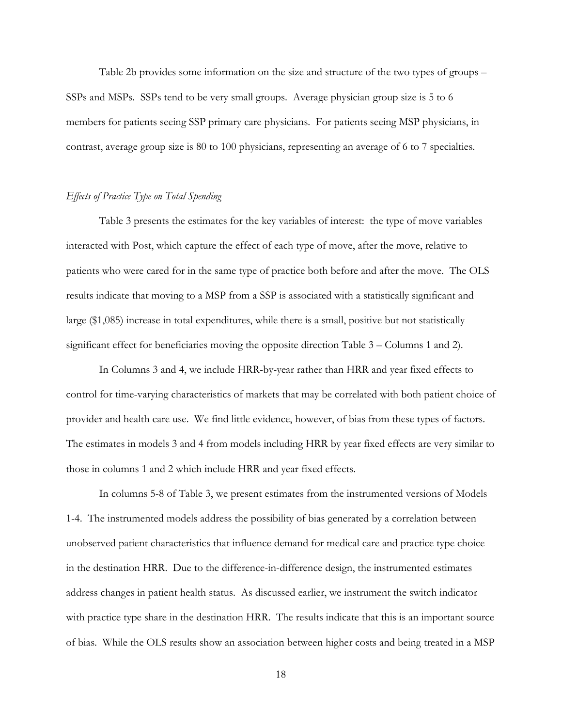Table 2b provides some information on the size and structure of the two types of groups – SSPs and MSPs. SSPs tend to be very small groups. Average physician group size is 5 to 6 members for patients seeing SSP primary care physicians. For patients seeing MSP physicians, in contrast, average group size is 80 to 100 physicians, representing an average of 6 to 7 specialties.

### *Effects of Practice Type on Total Spending*

Table 3 presents the estimates for the key variables of interest: the type of move variables interacted with Post, which capture the effect of each type of move, after the move, relative to patients who were cared for in the same type of practice both before and after the move. The OLS results indicate that moving to a MSP from a SSP is associated with a statistically significant and large (\$1,085) increase in total expenditures, while there is a small, positive but not statistically significant effect for beneficiaries moving the opposite direction Table 3 – Columns 1 and 2).

In Columns 3 and 4, we include HRR-by-year rather than HRR and year fixed effects to control for time-varying characteristics of markets that may be correlated with both patient choice of provider and health care use. We find little evidence, however, of bias from these types of factors. The estimates in models 3 and 4 from models including HRR by year fixed effects are very similar to those in columns 1 and 2 which include HRR and year fixed effects.

In columns 5-8 of Table 3, we present estimates from the instrumented versions of Models 1-4. The instrumented models address the possibility of bias generated by a correlation between unobserved patient characteristics that influence demand for medical care and practice type choice in the destination HRR. Due to the difference-in-difference design, the instrumented estimates address changes in patient health status. As discussed earlier, we instrument the switch indicator with practice type share in the destination HRR. The results indicate that this is an important source of bias. While the OLS results show an association between higher costs and being treated in a MSP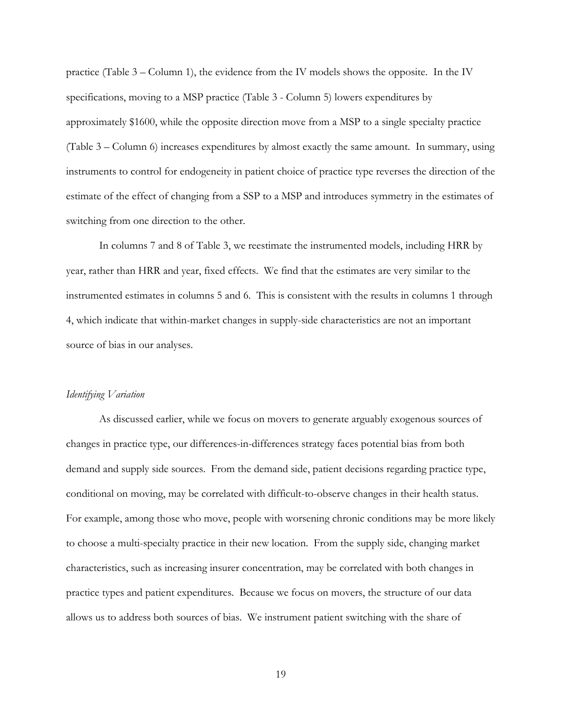practice (Table 3 – Column 1), the evidence from the IV models shows the opposite. In the IV specifications, moving to a MSP practice (Table 3 - Column 5) lowers expenditures by approximately \$1600, while the opposite direction move from a MSP to a single specialty practice (Table 3 – Column 6) increases expenditures by almost exactly the same amount. In summary, using instruments to control for endogeneity in patient choice of practice type reverses the direction of the estimate of the effect of changing from a SSP to a MSP and introduces symmetry in the estimates of switching from one direction to the other.

In columns 7 and 8 of Table 3, we reestimate the instrumented models, including HRR by year, rather than HRR and year, fixed effects. We find that the estimates are very similar to the instrumented estimates in columns 5 and 6. This is consistent with the results in columns 1 through 4, which indicate that within-market changes in supply-side characteristics are not an important source of bias in our analyses.

### *Identifying Variation*

As discussed earlier, while we focus on movers to generate arguably exogenous sources of changes in practice type, our differences-in-differences strategy faces potential bias from both demand and supply side sources. From the demand side, patient decisions regarding practice type, conditional on moving, may be correlated with difficult-to-observe changes in their health status. For example, among those who move, people with worsening chronic conditions may be more likely to choose a multi-specialty practice in their new location. From the supply side, changing market characteristics, such as increasing insurer concentration, may be correlated with both changes in practice types and patient expenditures. Because we focus on movers, the structure of our data allows us to address both sources of bias. We instrument patient switching with the share of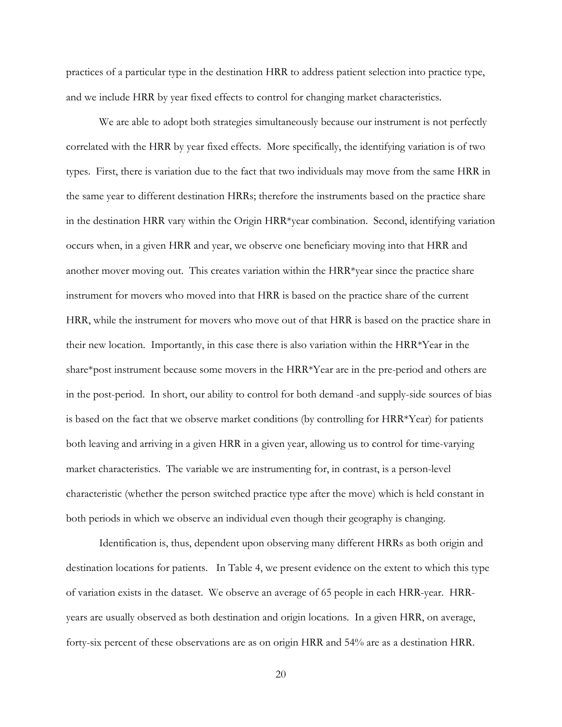practices of a particular type in the destination HRR to address patient selection into practice type, and we include HRR by year fixed effects to control for changing market characteristics.

We are able to adopt both strategies simultaneously because our instrument is not perfectly correlated with the HRR by year fixed effects. More specifically, the identifying variation is of two types. First, there is variation due to the fact that two individuals may move from the same HRR in the same year to different destination HRRs; therefore the instruments based on the practice share in the destination HRR vary within the Origin HRR\*year combination. Second, identifying variation occurs when, in a given HRR and year, we observe one beneficiary moving into that HRR and another mover moving out. This creates variation within the HRR\*year since the practice share instrument for movers who moved into that HRR is based on the practice share of the current HRR, while the instrument for movers who move out of that HRR is based on the practice share in their new location. Importantly, in this case there is also variation within the HRR\*Year in the share\*post instrument because some movers in the HRR\*Year are in the pre-period and others are in the post-period. In short, our ability to control for both demand -and supply-side sources of bias is based on the fact that we observe market conditions (by controlling for HRR\*Year) for patients both leaving and arriving in a given HRR in a given year, allowing us to control for time-varying market characteristics. The variable we are instrumenting for, in contrast, is a person-level characteristic (whether the person switched practice type after the move) which is held constant in both periods in which we observe an individual even though their geography is changing.

Identification is, thus, dependent upon observing many different HRRs as both origin and destination locations for patients. In Table 4, we present evidence on the extent to which this type of variation exists in the dataset. We observe an average of 65 people in each HRR-year. HRRyears are usually observed as both destination and origin locations. In a given HRR, on average, forty-six percent of these observations are as on origin HRR and 54% are as a destination HRR.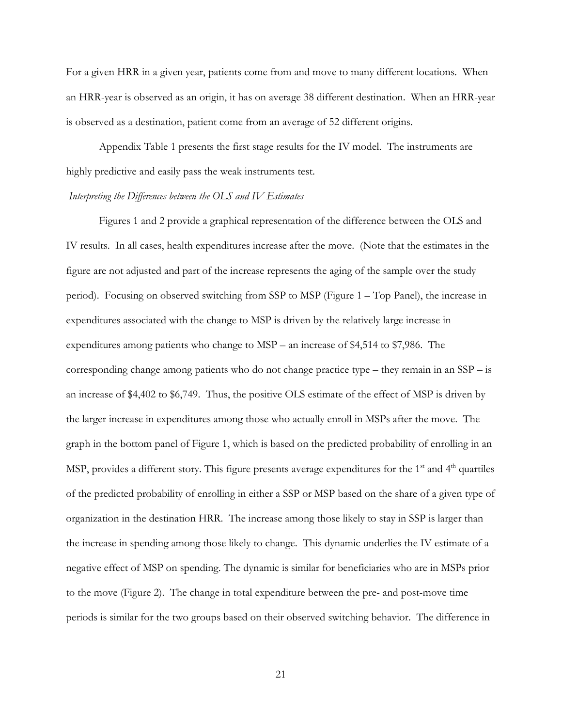For a given HRR in a given year, patients come from and move to many different locations. When an HRR-year is observed as an origin, it has on average 38 different destination. When an HRR-year is observed as a destination, patient come from an average of 52 different origins.

Appendix Table 1 presents the first stage results for the IV model. The instruments are highly predictive and easily pass the weak instruments test.

### *Interpreting the Differences between the OLS and IV Estimates*

Figures 1 and 2 provide a graphical representation of the difference between the OLS and IV results. In all cases, health expenditures increase after the move. (Note that the estimates in the figure are not adjusted and part of the increase represents the aging of the sample over the study period). Focusing on observed switching from SSP to MSP (Figure 1 – Top Panel), the increase in expenditures associated with the change to MSP is driven by the relatively large increase in expenditures among patients who change to MSP – an increase of \$4,514 to \$7,986. The corresponding change among patients who do not change practice type – they remain in an SSP – is an increase of \$4,402 to \$6,749. Thus, the positive OLS estimate of the effect of MSP is driven by the larger increase in expenditures among those who actually enroll in MSPs after the move. The graph in the bottom panel of Figure 1, which is based on the predicted probability of enrolling in an MSP, provides a different story. This figure presents average expenditures for the  $1<sup>st</sup>$  and  $4<sup>th</sup>$  quartiles of the predicted probability of enrolling in either a SSP or MSP based on the share of a given type of organization in the destination HRR. The increase among those likely to stay in SSP is larger than the increase in spending among those likely to change. This dynamic underlies the IV estimate of a negative effect of MSP on spending. The dynamic is similar for beneficiaries who are in MSPs prior to the move (Figure 2). The change in total expenditure between the pre- and post-move time periods is similar for the two groups based on their observed switching behavior. The difference in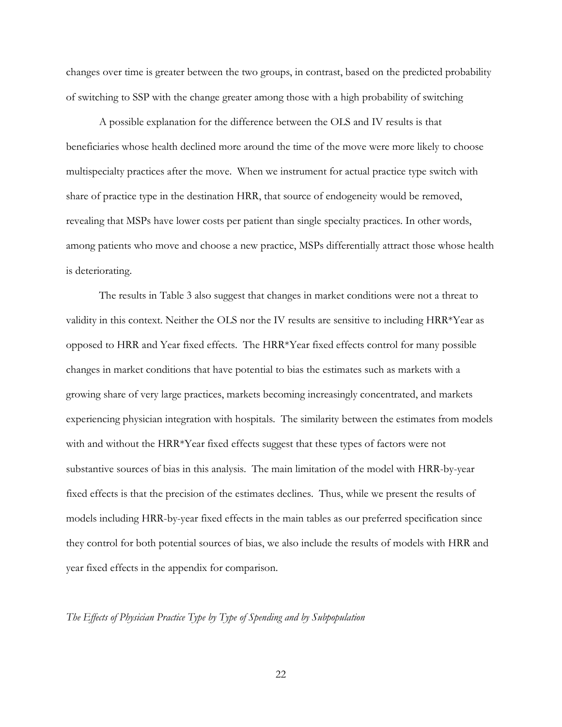changes over time is greater between the two groups, in contrast, based on the predicted probability of switching to SSP with the change greater among those with a high probability of switching

A possible explanation for the difference between the OLS and IV results is that beneficiaries whose health declined more around the time of the move were more likely to choose multispecialty practices after the move. When we instrument for actual practice type switch with share of practice type in the destination HRR, that source of endogeneity would be removed, revealing that MSPs have lower costs per patient than single specialty practices. In other words, among patients who move and choose a new practice, MSPs differentially attract those whose health is deteriorating.

The results in Table 3 also suggest that changes in market conditions were not a threat to validity in this context. Neither the OLS nor the IV results are sensitive to including HRR\*Year as opposed to HRR and Year fixed effects. The HRR\*Year fixed effects control for many possible changes in market conditions that have potential to bias the estimates such as markets with a growing share of very large practices, markets becoming increasingly concentrated, and markets experiencing physician integration with hospitals. The similarity between the estimates from models with and without the HRR\*Year fixed effects suggest that these types of factors were not substantive sources of bias in this analysis. The main limitation of the model with HRR-by-year fixed effects is that the precision of the estimates declines. Thus, while we present the results of models including HRR-by-year fixed effects in the main tables as our preferred specification since they control for both potential sources of bias, we also include the results of models with HRR and year fixed effects in the appendix for comparison.

# *The Effects of Physician Practice Type by Type of Spending and by Subpopulation*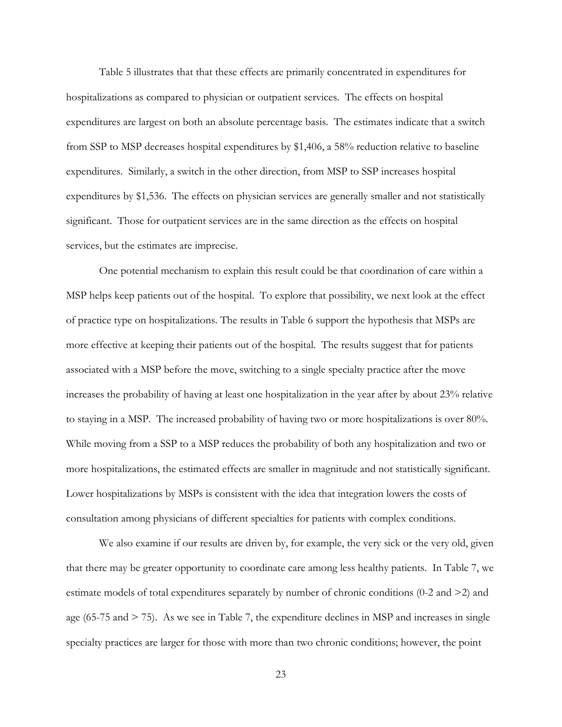Table 5 illustrates that that these effects are primarily concentrated in expenditures for hospitalizations as compared to physician or outpatient services. The effects on hospital expenditures are largest on both an absolute percentage basis. The estimates indicate that a switch from SSP to MSP decreases hospital expenditures by \$1,406, a 58% reduction relative to baseline expenditures. Similarly, a switch in the other direction, from MSP to SSP increases hospital expenditures by \$1,536. The effects on physician services are generally smaller and not statistically significant. Those for outpatient services are in the same direction as the effects on hospital services, but the estimates are imprecise.

One potential mechanism to explain this result could be that coordination of care within a MSP helps keep patients out of the hospital. To explore that possibility, we next look at the effect of practice type on hospitalizations. The results in Table 6 support the hypothesis that MSPs are more effective at keeping their patients out of the hospital. The results suggest that for patients associated with a MSP before the move, switching to a single specialty practice after the move increases the probability of having at least one hospitalization in the year after by about 23% relative to staying in a MSP. The increased probability of having two or more hospitalizations is over 80%. While moving from a SSP to a MSP reduces the probability of both any hospitalization and two or more hospitalizations, the estimated effects are smaller in magnitude and not statistically significant. Lower hospitalizations by MSPs is consistent with the idea that integration lowers the costs of consultation among physicians of different specialties for patients with complex conditions.

We also examine if our results are driven by, for example, the very sick or the very old, given that there may be greater opportunity to coordinate care among less healthy patients. In Table 7, we estimate models of total expenditures separately by number of chronic conditions (0-2 and >2) and age (65-75 and  $>$  75). As we see in Table 7, the expenditure declines in MSP and increases in single specialty practices are larger for those with more than two chronic conditions; however, the point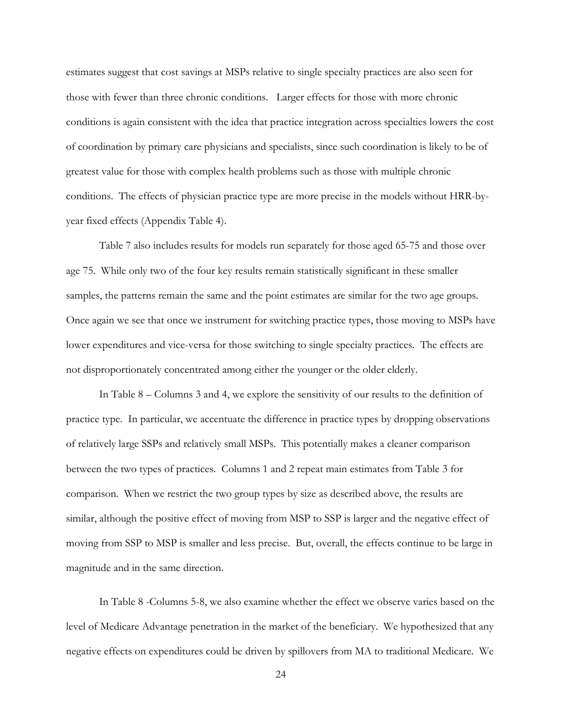estimates suggest that cost savings at MSPs relative to single specialty practices are also seen for those with fewer than three chronic conditions. Larger effects for those with more chronic conditions is again consistent with the idea that practice integration across specialties lowers the cost of coordination by primary care physicians and specialists, since such coordination is likely to be of greatest value for those with complex health problems such as those with multiple chronic conditions. The effects of physician practice type are more precise in the models without HRR-byyear fixed effects (Appendix Table 4).

Table 7 also includes results for models run separately for those aged 65-75 and those over age 75. While only two of the four key results remain statistically significant in these smaller samples, the patterns remain the same and the point estimates are similar for the two age groups. Once again we see that once we instrument for switching practice types, those moving to MSPs have lower expenditures and vice-versa for those switching to single specialty practices. The effects are not disproportionately concentrated among either the younger or the older elderly.

In Table 8 – Columns 3 and 4, we explore the sensitivity of our results to the definition of practice type. In particular, we accentuate the difference in practice types by dropping observations of relatively large SSPs and relatively small MSPs. This potentially makes a cleaner comparison between the two types of practices. Columns 1 and 2 repeat main estimates from Table 3 for comparison. When we restrict the two group types by size as described above, the results are similar, although the positive effect of moving from MSP to SSP is larger and the negative effect of moving from SSP to MSP is smaller and less precise. But, overall, the effects continue to be large in magnitude and in the same direction.

In Table 8 -Columns 5-8, we also examine whether the effect we observe varies based on the level of Medicare Advantage penetration in the market of the beneficiary. We hypothesized that any negative effects on expenditures could be driven by spillovers from MA to traditional Medicare. We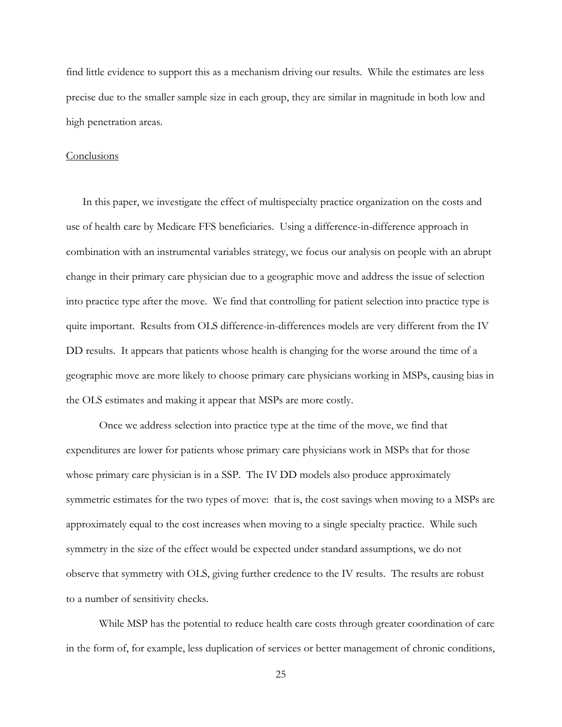find little evidence to support this as a mechanism driving our results. While the estimates are less precise due to the smaller sample size in each group, they are similar in magnitude in both low and high penetration areas.

### **Conclusions**

In this paper, we investigate the effect of multispecialty practice organization on the costs and use of health care by Medicare FFS beneficiaries. Using a difference-in-difference approach in combination with an instrumental variables strategy, we focus our analysis on people with an abrupt change in their primary care physician due to a geographic move and address the issue of selection into practice type after the move. We find that controlling for patient selection into practice type is quite important. Results from OLS difference-in-differences models are very different from the IV DD results. It appears that patients whose health is changing for the worse around the time of a geographic move are more likely to choose primary care physicians working in MSPs, causing bias in the OLS estimates and making it appear that MSPs are more costly.

Once we address selection into practice type at the time of the move, we find that expenditures are lower for patients whose primary care physicians work in MSPs that for those whose primary care physician is in a SSP. The IV DD models also produce approximately symmetric estimates for the two types of move: that is, the cost savings when moving to a MSPs are approximately equal to the cost increases when moving to a single specialty practice. While such symmetry in the size of the effect would be expected under standard assumptions, we do not observe that symmetry with OLS, giving further credence to the IV results. The results are robust to a number of sensitivity checks.

While MSP has the potential to reduce health care costs through greater coordination of care in the form of, for example, less duplication of services or better management of chronic conditions,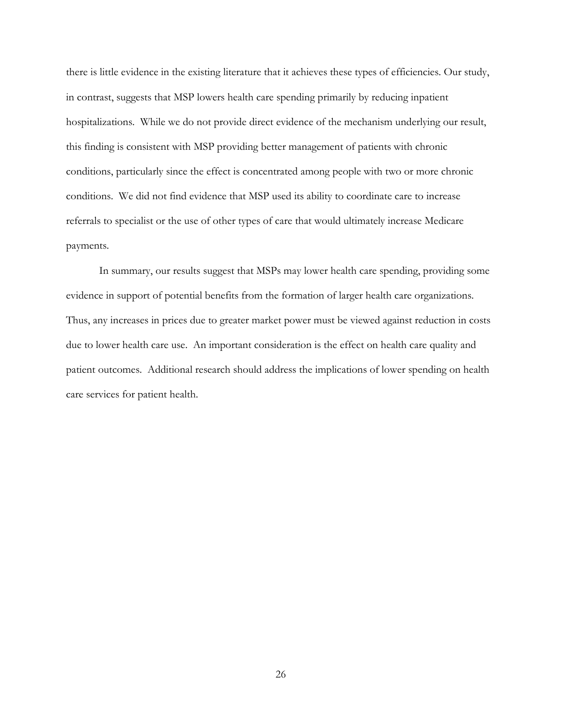there is little evidence in the existing literature that it achieves these types of efficiencies. Our study, in contrast, suggests that MSP lowers health care spending primarily by reducing inpatient hospitalizations. While we do not provide direct evidence of the mechanism underlying our result, this finding is consistent with MSP providing better management of patients with chronic conditions, particularly since the effect is concentrated among people with two or more chronic conditions. We did not find evidence that MSP used its ability to coordinate care to increase referrals to specialist or the use of other types of care that would ultimately increase Medicare payments.

In summary, our results suggest that MSPs may lower health care spending, providing some evidence in support of potential benefits from the formation of larger health care organizations. Thus, any increases in prices due to greater market power must be viewed against reduction in costs due to lower health care use. An important consideration is the effect on health care quality and patient outcomes. Additional research should address the implications of lower spending on health care services for patient health.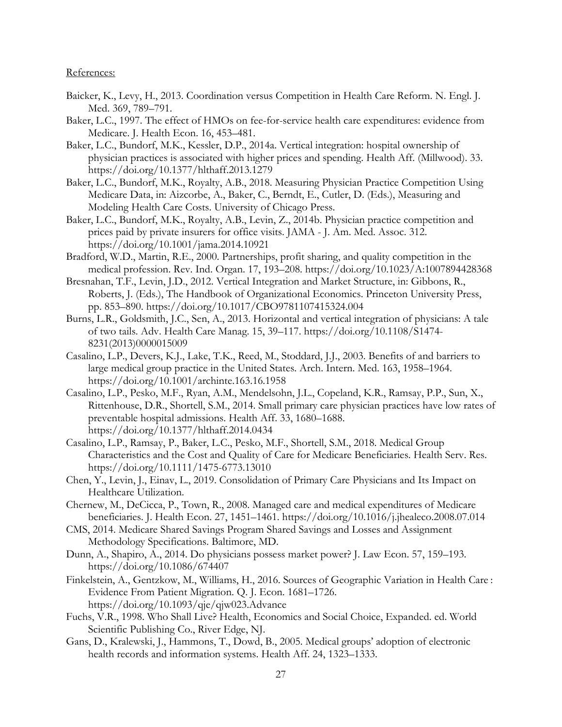### References:

- Baicker, K., Levy, H., 2013. Coordination versus Competition in Health Care Reform. N. Engl. J. Med. 369, 789–791.
- Baker, L.C., 1997. The effect of HMOs on fee-for-service health care expenditures: evidence from Medicare. J. Health Econ. 16, 453–481.
- Baker, L.C., Bundorf, M.K., Kessler, D.P., 2014a. Vertical integration: hospital ownership of physician practices is associated with higher prices and spending. Health Aff. (Millwood). 33. https://doi.org/10.1377/hlthaff.2013.1279
- Baker, L.C., Bundorf, M.K., Royalty, A.B., 2018. Measuring Physician Practice Competition Using Medicare Data, in: Aizcorbe, A., Baker, C., Berndt, E., Cutler, D. (Eds.), Measuring and Modeling Health Care Costs. University of Chicago Press.
- Baker, L.C., Bundorf, M.K., Royalty, A.B., Levin, Z., 2014b. Physician practice competition and prices paid by private insurers for office visits. JAMA - J. Am. Med. Assoc. 312. https://doi.org/10.1001/jama.2014.10921
- Bradford, W.D., Martin, R.E., 2000. Partnerships, profit sharing, and quality competition in the medical profession. Rev. Ind. Organ. 17, 193–208. https://doi.org/10.1023/A:1007894428368
- Bresnahan, T.F., Levin, J.D., 2012. Vertical Integration and Market Structure, in: Gibbons, R., Roberts, J. (Eds.), The Handbook of Organizational Economics. Princeton University Press, pp. 853–890. https://doi.org/10.1017/CBO9781107415324.004
- Burns, L.R., Goldsmith, J.C., Sen, A., 2013. Horizontal and vertical integration of physicians: A tale of two tails. Adv. Health Care Manag. 15, 39–117. https://doi.org/10.1108/S1474- 8231(2013)0000015009
- Casalino, L.P., Devers, K.J., Lake, T.K., Reed, M., Stoddard, J.J., 2003. Benefits of and barriers to large medical group practice in the United States. Arch. Intern. Med. 163, 1958–1964. https://doi.org/10.1001/archinte.163.16.1958
- Casalino, L.P., Pesko, M.F., Ryan, A.M., Mendelsohn, J.L., Copeland, K.R., Ramsay, P.P., Sun, X., Rittenhouse, D.R., Shortell, S.M., 2014. Small primary care physician practices have low rates of preventable hospital admissions. Health Aff. 33, 1680–1688. https://doi.org/10.1377/hlthaff.2014.0434
- Casalino, L.P., Ramsay, P., Baker, L.C., Pesko, M.F., Shortell, S.M., 2018. Medical Group Characteristics and the Cost and Quality of Care for Medicare Beneficiaries. Health Serv. Res. https://doi.org/10.1111/1475-6773.13010
- Chen, Y., Levin, J., Einav, L., 2019. Consolidation of Primary Care Physicians and Its Impact on Healthcare Utilization.
- Chernew, M., DeCicca, P., Town, R., 2008. Managed care and medical expenditures of Medicare beneficiaries. J. Health Econ. 27, 1451–1461. https://doi.org/10.1016/j.jhealeco.2008.07.014
- CMS, 2014. Medicare Shared Savings Program Shared Savings and Losses and Assignment Methodology Specifications. Baltimore, MD.
- Dunn, A., Shapiro, A., 2014. Do physicians possess market power? J. Law Econ. 57, 159–193. https://doi.org/10.1086/674407
- Finkelstein, A., Gentzkow, M., Williams, H., 2016. Sources of Geographic Variation in Health Care : Evidence From Patient Migration. Q. J. Econ. 1681–1726. https://doi.org/10.1093/qje/qjw023.Advance
- Fuchs, V.R., 1998. Who Shall Live? Health, Economics and Social Choice, Expanded. ed. World Scientific Publishing Co., River Edge, NJ.
- Gans, D., Kralewski, J., Hammons, T., Dowd, B., 2005. Medical groups' adoption of electronic health records and information systems. Health Aff. 24, 1323–1333.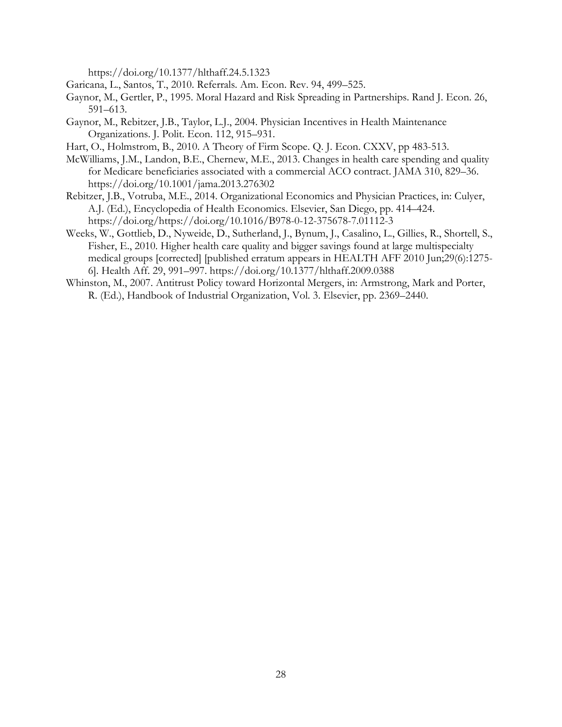https://doi.org/10.1377/hlthaff.24.5.1323

- Garicana, L., Santos, T., 2010. Referrals. Am. Econ. Rev. 94, 499–525.
- Gaynor, M., Gertler, P., 1995. Moral Hazard and Risk Spreading in Partnerships. Rand J. Econ. 26, 591–613.
- Gaynor, M., Rebitzer, J.B., Taylor, L.J., 2004. Physician Incentives in Health Maintenance Organizations. J. Polit. Econ. 112, 915–931.
- Hart, O., Holmstrom, B., 2010. A Theory of Firm Scope. Q. J. Econ. CXXV, pp 483-513.
- McWilliams, J.M., Landon, B.E., Chernew, M.E., 2013. Changes in health care spending and quality for Medicare beneficiaries associated with a commercial ACO contract. JAMA 310, 829–36. https://doi.org/10.1001/jama.2013.276302
- Rebitzer, J.B., Votruba, M.E., 2014. Organizational Economics and Physician Practices, in: Culyer, A.J. (Ed.), Encyclopedia of Health Economics. Elsevier, San Diego, pp. 414–424. https://doi.org/https://doi.org/10.1016/B978-0-12-375678-7.01112-3
- Weeks, W., Gottlieb, D., Nyweide, D., Sutherland, J., Bynum, J., Casalino, L., Gillies, R., Shortell, S., Fisher, E., 2010. Higher health care quality and bigger savings found at large multispecialty medical groups [corrected] [published erratum appears in HEALTH AFF 2010 Jun;29(6):1275- 6]. Health Aff. 29, 991–997. https://doi.org/10.1377/hlthaff.2009.0388
- Whinston, M., 2007. Antitrust Policy toward Horizontal Mergers, in: Armstrong, Mark and Porter, R. (Ed.), Handbook of Industrial Organization, Vol. 3. Elsevier, pp. 2369–2440.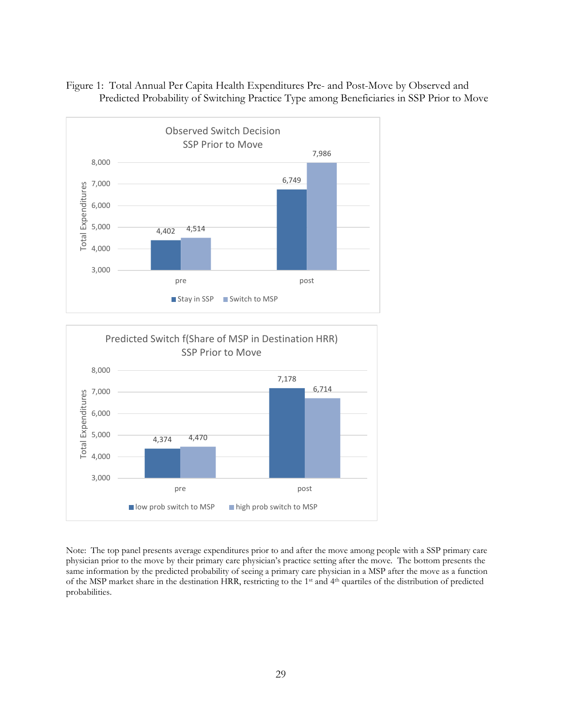





Note: The top panel presents average expenditures prior to and after the move among people with a SSP primary care physician prior to the move by their primary care physician's practice setting after the move. The bottom presents the same information by the predicted probability of seeing a primary care physician in a MSP after the move as a function of the MSP market share in the destination HRR, restricting to the 1st and 4th quartiles of the distribution of predicted probabilities.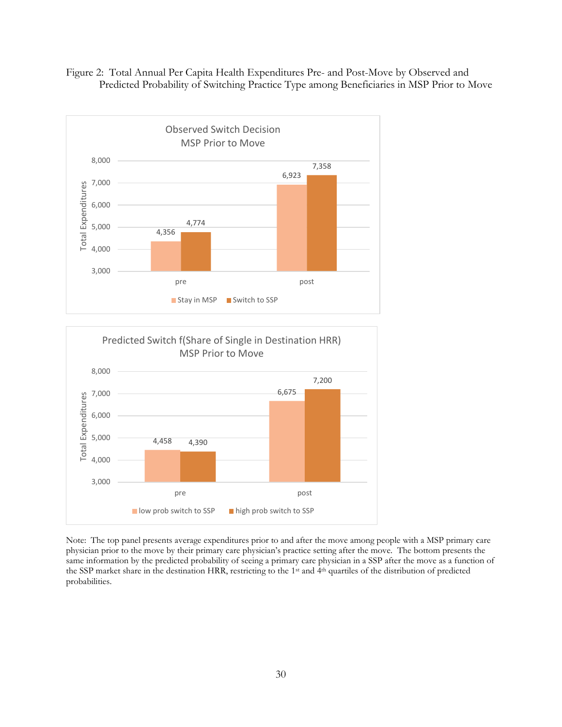





Note: The top panel presents average expenditures prior to and after the move among people with a MSP primary care physician prior to the move by their primary care physician's practice setting after the move. The bottom presents the same information by the predicted probability of seeing a primary care physician in a SSP after the move as a function of the SSP market share in the destination HRR, restricting to the 1st and 4th quartiles of the distribution of predicted probabilities.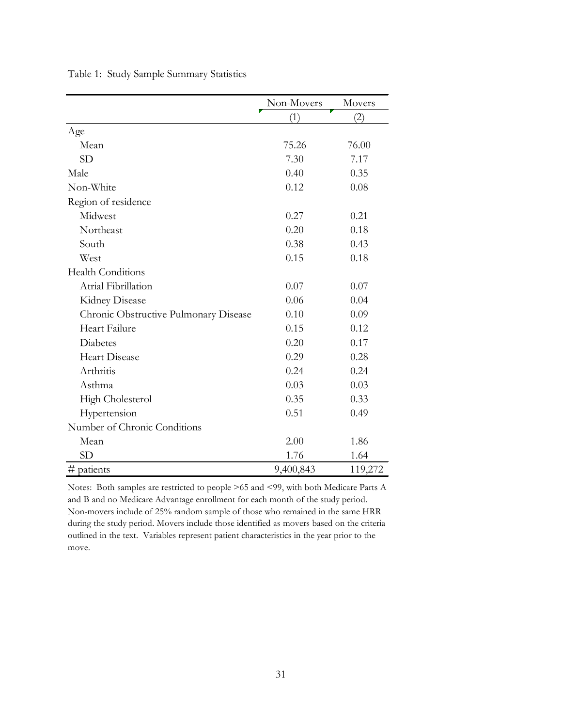|                                       | Non-Movers | Movers  |
|---------------------------------------|------------|---------|
|                                       | (1)        | (2)     |
| Age                                   |            |         |
| Mean                                  | 75.26      | 76.00   |
| <b>SD</b>                             | 7.30       | 7.17    |
| Male                                  | 0.40       | 0.35    |
| Non-White                             | 0.12       | 0.08    |
| Region of residence                   |            |         |
| Midwest                               | 0.27       | 0.21    |
| Northeast                             | 0.20       | 0.18    |
| South                                 | 0.38       | 0.43    |
| West                                  | 0.15       | 0.18    |
| <b>Health Conditions</b>              |            |         |
| Atrial Fibrillation                   | 0.07       | 0.07    |
| Kidney Disease                        | 0.06       | 0.04    |
| Chronic Obstructive Pulmonary Disease | 0.10       | 0.09    |
| Heart Failure                         | 0.15       | 0.12    |
| <b>Diabetes</b>                       | 0.20       | 0.17    |
| <b>Heart Disease</b>                  | 0.29       | 0.28    |
| Arthritis                             | 0.24       | 0.24    |
| Asthma                                | 0.03       | 0.03    |
| High Cholesterol                      | 0.35       | 0.33    |
| Hypertension                          | 0.51       | 0.49    |
| Number of Chronic Conditions          |            |         |
| Mean                                  | 2.00       | 1.86    |
| <b>SD</b>                             | 1.76       | 1.64    |
| #<br>patients                         | 9,400,843  | 119,272 |

Table 1: Study Sample Summary Statistics

Notes: Both samples are restricted to people >65 and <99, with both Medicare Parts A and B and no Medicare Advantage enrollment for each month of the study period. Non-movers include of 25% random sample of those who remained in the same HRR during the study period. Movers include those identified as movers based on the criteria outlined in the text. Variables represent patient characteristics in the year prior to the move.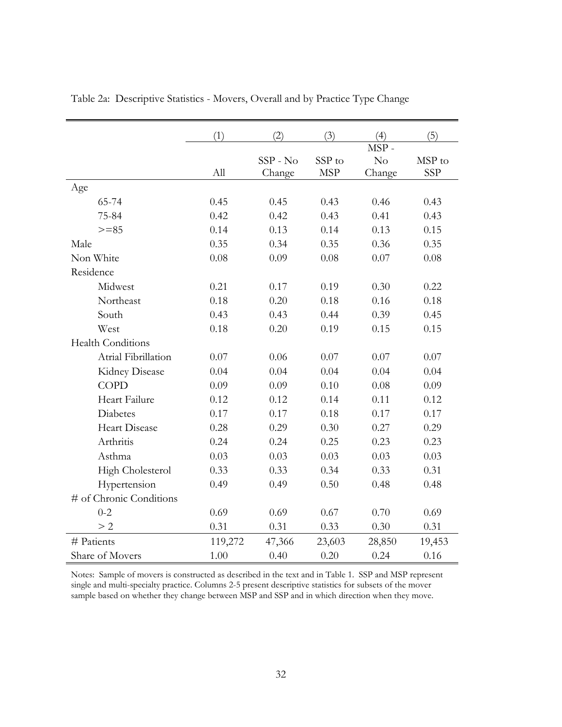|                          | (1)     | (2)        | (3)        | (4)    | (5)        |
|--------------------------|---------|------------|------------|--------|------------|
|                          |         |            |            | MSP-   |            |
|                          |         | $SSP - No$ | SSP to     | No     | MSP to     |
|                          | All     | Change     | <b>MSP</b> | Change | <b>SSP</b> |
| Age                      |         |            |            |        |            |
| 65-74                    | 0.45    | 0.45       | 0.43       | 0.46   | 0.43       |
| 75-84                    | 0.42    | 0.42       | 0.43       | 0.41   | 0.43       |
| $>= 85$                  | 0.14    | 0.13       | 0.14       | 0.13   | 0.15       |
| Male                     | 0.35    | 0.34       | 0.35       | 0.36   | 0.35       |
| Non White                | 0.08    | 0.09       | 0.08       | 0.07   | 0.08       |
| Residence                |         |            |            |        |            |
| Midwest                  | 0.21    | 0.17       | 0.19       | 0.30   | 0.22       |
| Northeast                | 0.18    | 0.20       | 0.18       | 0.16   | 0.18       |
| South                    | 0.43    | 0.43       | 0.44       | 0.39   | 0.45       |
| West                     | 0.18    | 0.20       | 0.19       | 0.15   | 0.15       |
| <b>Health Conditions</b> |         |            |            |        |            |
| Atrial Fibrillation      | 0.07    | 0.06       | 0.07       | 0.07   | 0.07       |
| Kidney Disease           | 0.04    | 0.04       | 0.04       | 0.04   | 0.04       |
| <b>COPD</b>              | 0.09    | 0.09       | 0.10       | 0.08   | 0.09       |
| Heart Failure            | 0.12    | 0.12       | 0.14       | 0.11   | 0.12       |
| Diabetes                 | 0.17    | 0.17       | 0.18       | 0.17   | 0.17       |
| <b>Heart Disease</b>     | 0.28    | 0.29       | 0.30       | 0.27   | 0.29       |
| Arthritis                | 0.24    | 0.24       | 0.25       | 0.23   | 0.23       |
| Asthma                   | 0.03    | 0.03       | 0.03       | 0.03   | 0.03       |
| High Cholesterol         | 0.33    | 0.33       | 0.34       | 0.33   | 0.31       |
| Hypertension             | 0.49    | 0.49       | 0.50       | 0.48   | 0.48       |
| # of Chronic Conditions  |         |            |            |        |            |
| $0 - 2$                  | 0.69    | 0.69       | 0.67       | 0.70   | 0.69       |
| > 2                      | 0.31    | 0.31       | 0.33       | 0.30   | 0.31       |
| # Patients               | 119,272 | 47,366     | 23,603     | 28,850 | 19,453     |
| Share of Movers          | 1.00    | 0.40       | 0.20       | 0.24   | 0.16       |

Table 2a: Descriptive Statistics - Movers, Overall and by Practice Type Change

Notes: Sample of movers is constructed as described in the text and in Table 1. SSP and MSP represent single and multi-specialty practice. Columns 2-5 present descriptive statistics for subsets of the mover sample based on whether they change between MSP and SSP and in which direction when they move.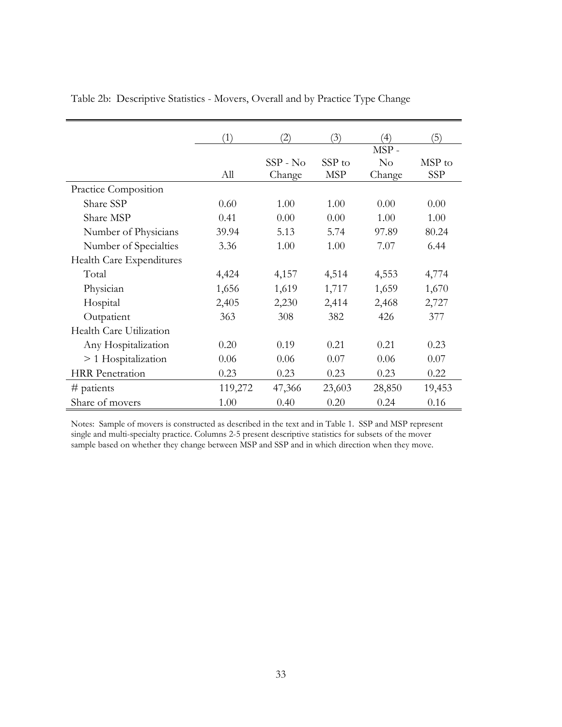|                          | (1)     | $\left( 2\right)$ | (3)        | $\left(4\right)$ | (5)    |
|--------------------------|---------|-------------------|------------|------------------|--------|
|                          |         |                   |            | MSP-             |        |
|                          |         | $SSP - No$        | SSP to     | $\rm No$         | MSP to |
|                          | All     | Change            | <b>MSP</b> | Change           | SSP    |
| Practice Composition     |         |                   |            |                  |        |
| Share SSP                | 0.60    | 1.00              | 1.00       | 0.00             | 0.00   |
| Share MSP                | 0.41    | 0.00              | 0.00       | 1.00             | 1.00   |
| Number of Physicians     | 39.94   | 5.13              | 5.74       | 97.89            | 80.24  |
| Number of Specialties    | 3.36    | 1.00              | 1.00       | 7.07             | 6.44   |
| Health Care Expenditures |         |                   |            |                  |        |
| Total                    | 4,424   | 4,157             | 4,514      | 4,553            | 4,774  |
| Physician                | 1,656   | 1,619             | 1,717      | 1,659            | 1,670  |
| Hospital                 | 2,405   | 2,230             | 2,414      | 2,468            | 2,727  |
| Outpatient               | 363     | 308               | 382        | 426              | 377    |
| Health Care Utilization  |         |                   |            |                  |        |
| Any Hospitalization      | 0.20    | 0.19              | 0.21       | 0.21             | 0.23   |
| $>1$ Hospitalization     | 0.06    | 0.06              | 0.07       | 0.06             | 0.07   |
| <b>HRR</b> Penetration   | 0.23    | 0.23              | 0.23       | 0.23             | 0.22   |
| $#$ patients             | 119,272 | 47,366            | 23,603     | 28,850           | 19,453 |
| Share of movers          | 1.00    | 0.40              | 0.20       | 0.24             | 0.16   |

Table 2b: Descriptive Statistics - Movers, Overall and by Practice Type Change

Notes: Sample of movers is constructed as described in the text and in Table 1. SSP and MSP represent single and multi-specialty practice. Columns 2-5 present descriptive statistics for subsets of the mover sample based on whether they change between MSP and SSP and in which direction when they move.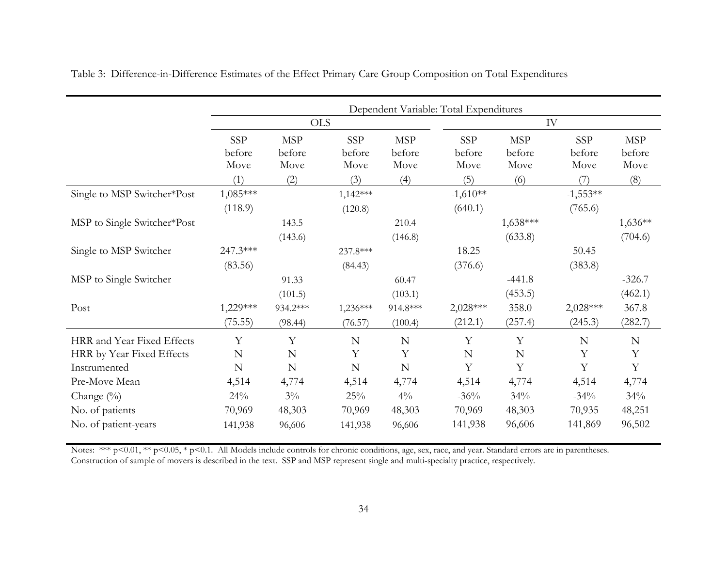|                             | Dependent Variable: Total Expenditures |                              |                              |                              |                       |                              |                              |                              |
|-----------------------------|----------------------------------------|------------------------------|------------------------------|------------------------------|-----------------------|------------------------------|------------------------------|------------------------------|
|                             |                                        | <b>OLS</b>                   |                              |                              |                       |                              | IV                           |                              |
|                             | <b>SSP</b><br>before<br>Move           | <b>MSP</b><br>before<br>Move | <b>SSP</b><br>before<br>Move | <b>MSP</b><br>before<br>Move | SSP<br>before<br>Move | <b>MSP</b><br>before<br>Move | <b>SSP</b><br>before<br>Move | <b>MSP</b><br>before<br>Move |
|                             | (1)                                    | (2)                          | (3)                          | (4)                          | (5)                   | (6)                          | (7)                          | (8)                          |
| Single to MSP Switcher*Post | 1,085***<br>(118.9)                    |                              | $1,142***$<br>(120.8)        |                              | $-1,610**$<br>(640.1) |                              | $-1,553**$<br>(765.6)        |                              |
| MSP to Single Switcher*Post |                                        | 143.5                        |                              | 210.4                        |                       | $1,638***$                   |                              | $1,636**$                    |
|                             |                                        | (143.6)                      |                              | (146.8)                      |                       | (633.8)                      |                              | (704.6)                      |
| Single to MSP Switcher      | 247.3***                               |                              | 237.8***                     |                              | 18.25                 |                              | 50.45                        |                              |
|                             | (83.56)                                |                              | (84.43)                      |                              | (376.6)               |                              | (383.8)                      |                              |
| MSP to Single Switcher      |                                        | 91.33                        |                              | 60.47                        |                       | $-441.8$                     |                              | $-326.7$                     |
|                             |                                        | (101.5)                      |                              | (103.1)                      |                       | (453.5)                      |                              | (462.1)                      |
| Post                        | 1,229***                               | 934.2***                     | $1,236***$                   | 914.8***                     | $2,028***$            | 358.0                        | 2,028***                     | 367.8                        |
|                             | (75.55)                                | (98.44)                      | (76.57)                      | (100.4)                      | (212.1)               | (257.4)                      | (245.3)                      | (282.7)                      |
| HRR and Year Fixed Effects  | Y                                      | Y                            | $\mathbf N$                  | N                            | Y                     | Y                            | $\mathbf N$                  | N                            |
| HRR by Year Fixed Effects   | $\mathbf N$                            | N                            | Y                            | Y                            | N                     | N                            | Y                            | Y                            |
| Instrumented                | N                                      | $\mathbf N$                  | $\mathbf N$                  | N                            | Y                     | Y                            | Y                            | $\mathbf Y$                  |
| Pre-Move Mean               | 4,514                                  | 4,774                        | 4,514                        | 4,774                        | 4,514                 | 4,774                        | 4,514                        | 4,774                        |
| Change (%)                  | 24%                                    | $3\%$                        | 25%                          | $4\%$                        | $-36%$                | 34%                          | $-34\%$                      | 34%                          |
| No. of patients             | 70,969                                 | 48,303                       | 70,969                       | 48,303                       | 70,969                | 48,303                       | 70,935                       | 48,251                       |
| No. of patient-years        | 141,938                                | 96,606                       | 141,938                      | 96,606                       | 141,938               | 96,606                       | 141,869                      | 96,502                       |

Table 3: Difference-in-Difference Estimates of the Effect Primary Care Group Composition on Total Expenditures

Notes: \*\*\* p<0.01, \*\* p<0.05, \* p<0.1. All Models include controls for chronic conditions, age, sex, race, and year. Standard errors are in parentheses. Construction of sample of movers is described in the text. SSP and MSP represent single and multi-specialty practice, respectively.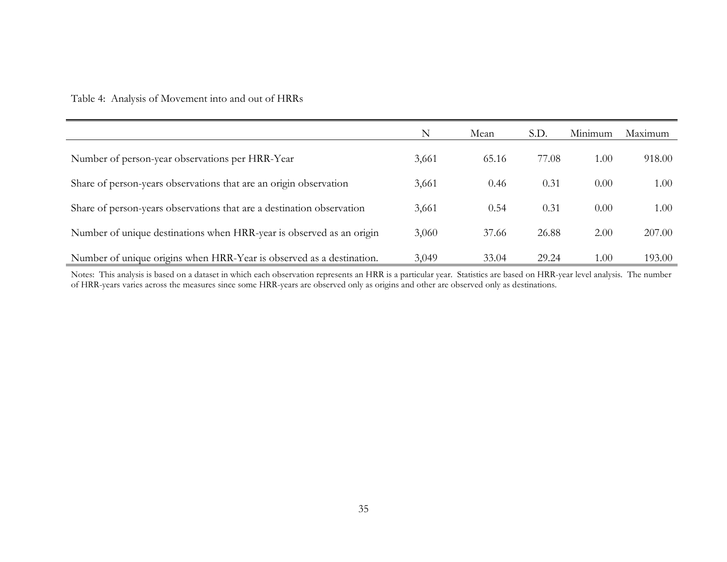Table 4: Analysis of Movement into and out of HRRs

|                                                                       | N     | Mean  | S.D.  | Minimum | Maximum |
|-----------------------------------------------------------------------|-------|-------|-------|---------|---------|
| Number of person-year observations per HRR-Year                       | 3,661 | 65.16 | 77.08 | 1.00    | 918.00  |
| Share of person-years observations that are an origin observation     | 3,661 | 0.46  | 0.31  | 0.00    | 1.00    |
| Share of person-years observations that are a destination observation | 3,661 | 0.54  | 0.31  | 0.00    | 1.00    |
| Number of unique destinations when HRR-year is observed as an origin  | 3,060 | 37.66 | 26.88 | 2.00    | 207.00  |
| Number of unique origins when HRR-Year is observed as a destination.  | 3,049 | 33.04 | 29.24 | 1.00    | 193.00  |

Notes: This analysis is based on a dataset in which each observation represents an HRR is a particular year. Statistics are based on HRR-year level analysis. The number of HRR-years varies across the measures since some HRR-years are observed only as origins and other are observed only as destinations.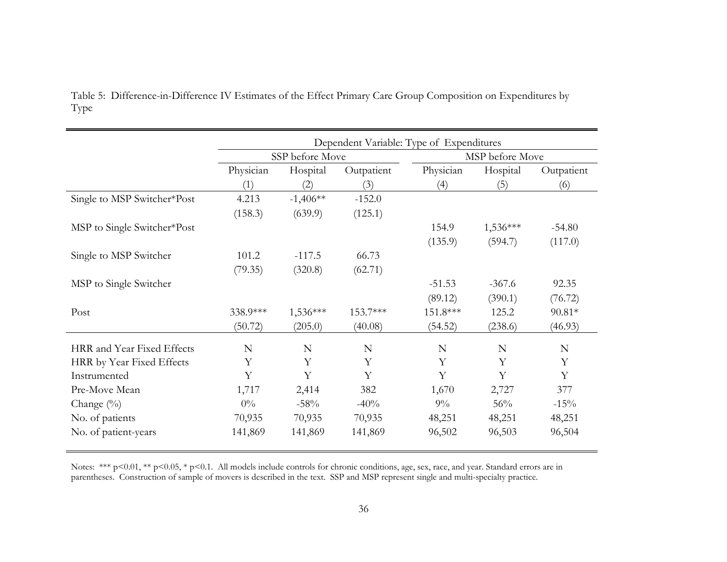|                             | Dependent Variable: Type of Expenditures |                 |            |           |                 |            |  |
|-----------------------------|------------------------------------------|-----------------|------------|-----------|-----------------|------------|--|
|                             |                                          | SSP before Move |            |           | MSP before Move |            |  |
|                             | Physician                                | Hospital        | Outpatient | Physician | Hospital        | Outpatient |  |
|                             | (1)                                      | (2)             | (3)        | (4)       | (5)             | (6)        |  |
| Single to MSP Switcher*Post | 4.213                                    | $-1,406**$      | $-152.0$   |           |                 |            |  |
|                             | (158.3)                                  | (639.9)         | (125.1)    |           |                 |            |  |
| MSP to Single Switcher*Post |                                          |                 |            | 154.9     | $1,536***$      | $-54.80$   |  |
|                             |                                          |                 |            | (135.9)   | (594.7)         | (117.0)    |  |
| Single to MSP Switcher      | 101.2                                    | $-117.5$        | 66.73      |           |                 |            |  |
|                             | (79.35)                                  | (320.8)         | (62.71)    |           |                 |            |  |
| MSP to Single Switcher      |                                          |                 |            | $-51.53$  | $-367.6$        | 92.35      |  |
|                             |                                          |                 |            | (89.12)   | (390.1)         | (76.72)    |  |
| Post                        | 338.9***                                 | $1,536***$      | 153.7***   | 151.8***  | 125.2           | $90.81*$   |  |
|                             | (50.72)                                  | (205.0)         | (40.08)    | (54.52)   | (238.6)         | (46.93)    |  |
| HRR and Year Fixed Effects  | N                                        | N               | N          | N         | N               | N          |  |
| HRR by Year Fixed Effects   | Y                                        | Y               | Y          | Y         | Y               | Y          |  |
| Instrumented                | Y                                        | Y               | Y          | Y         | Y               | Y          |  |
| Pre-Move Mean               | 1,717                                    | 2,414           | 382        | 1,670     | 2,727           | 377        |  |
| Change $(\%)$               | $0\%$                                    | $-58%$          | $-40%$     | $9\%$     | 56%             | $-15%$     |  |
| No. of patients             | 70,935                                   | 70,935          | 70,935     | 48,251    | 48,251          | 48,251     |  |
| No. of patient-years        | 141,869                                  | 141,869         | 141,869    | 96,502    | 96,503          | 96,504     |  |

Table 5: Difference-in-Difference IV Estimates of the Effect Primary Care Group Composition on Expenditures by Type

Notes: \*\*\* p<0.01, \*\* p<0.05, \* p<0.1. All models include controls for chronic conditions, age, sex, race, and year. Standard errors are in parentheses. Construction of sample of movers is described in the text. SSP and MSP represent single and multi-specialty practice.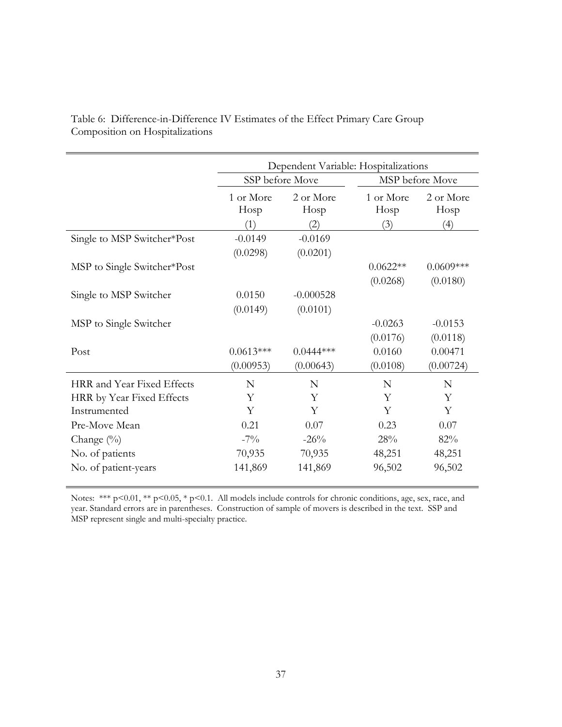|                                                                         | Dependent Variable: Hospitalizations |                          |                          |                          |  |  |
|-------------------------------------------------------------------------|--------------------------------------|--------------------------|--------------------------|--------------------------|--|--|
|                                                                         | SSP before Move                      |                          |                          | MSP before Move          |  |  |
|                                                                         | 1 or More<br>Hosp<br>(1)             | 2 or More<br>Hosp<br>(2) | 1 or More<br>Hosp<br>(3) | 2 or More<br>Hosp<br>(4) |  |  |
| Single to MSP Switcher*Post                                             | $-0.0149$<br>(0.0298)                | $-0.0169$<br>(0.0201)    |                          |                          |  |  |
| MSP to Single Switcher*Post                                             |                                      |                          | $0.0622**$<br>(0.0268)   | $0.0609***$<br>(0.0180)  |  |  |
| Single to MSP Switcher                                                  | 0.0150<br>(0.0149)                   | $-0.000528$<br>(0.0101)  |                          |                          |  |  |
| MSP to Single Switcher                                                  |                                      |                          | $-0.0263$<br>(0.0176)    | $-0.0153$<br>(0.0118)    |  |  |
| Post                                                                    | $0.0613***$<br>(0.00953)             | $0.0444***$<br>(0.00643) | 0.0160<br>(0.0108)       | 0.00471<br>(0.00724)     |  |  |
|                                                                         |                                      |                          |                          |                          |  |  |
| HRR and Year Fixed Effects<br>HRR by Year Fixed Effects<br>Instrumented | N<br>Y<br>Y                          | N<br>Y<br>Y              | N<br>Y<br>Y              | N<br>Y<br>Y              |  |  |
| Pre-Move Mean                                                           | 0.21                                 | 0.07                     | 0.23                     | 0.07                     |  |  |
| Change $(\%)$                                                           | $-7\%$                               | $-26%$                   | 28%                      | 82%                      |  |  |
| No. of patients                                                         | 70,935                               | 70,935                   | 48,251                   | 48,251                   |  |  |
| No. of patient-years                                                    | 141,869                              | 141,869                  | 96,502                   | 96,502                   |  |  |

Table 6: Difference-in-Difference IV Estimates of the Effect Primary Care Group Composition on Hospitalizations

Notes: \*\*\*  $p<0.01$ , \*\*  $p<0.05$ , \*  $p<0.1$ . All models include controls for chronic conditions, age, sex, race, and year. Standard errors are in parentheses. Construction of sample of movers is described in the text. SSP and MSP represent single and multi-specialty practice.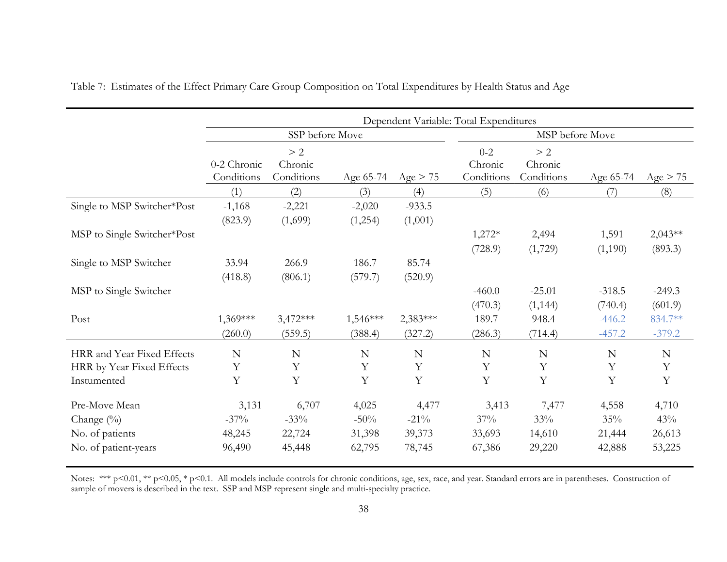|                                                                           |                                      |                                     |                                     |                                      | Dependent Variable: Total Expenditures |                                  |                                  |                                  |
|---------------------------------------------------------------------------|--------------------------------------|-------------------------------------|-------------------------------------|--------------------------------------|----------------------------------------|----------------------------------|----------------------------------|----------------------------------|
|                                                                           |                                      | SSP before Move                     |                                     |                                      |                                        | MSP before Move                  |                                  |                                  |
|                                                                           | 0-2 Chronic<br>Conditions            | > 2<br>Chronic<br>Conditions        | Age 65-74                           | Age > 75                             | $0 - 2$<br>Chronic<br>Conditions       | > 2<br>Chronic<br>Conditions     | Age 65-74                        | Age > 75                         |
|                                                                           | (1)                                  | (2)                                 | (3)                                 | (4)                                  | (5)                                    | (6)                              | (7)                              | (8)                              |
| Single to MSP Switcher*Post                                               | $-1,168$<br>(823.9)                  | $-2,221$<br>(1,699)                 | $-2,020$<br>(1,254)                 | $-933.5$<br>(1,001)                  |                                        |                                  |                                  |                                  |
| MSP to Single Switcher*Post                                               |                                      |                                     |                                     |                                      | $1,272*$<br>(728.9)                    | 2,494<br>(1,729)                 | 1,591<br>(1,190)                 | $2,043**$<br>(893.3)             |
| Single to MSP Switcher                                                    | 33.94<br>(418.8)                     | 266.9<br>(806.1)                    | 186.7<br>(579.7)                    | 85.74<br>(520.9)                     |                                        |                                  |                                  |                                  |
| MSP to Single Switcher                                                    |                                      |                                     |                                     |                                      | $-460.0$<br>(470.3)                    | $-25.01$<br>(1, 144)             | $-318.5$<br>(740.4)              | $-249.3$<br>(601.9)              |
| Post                                                                      | 1,369***<br>(260.0)                  | $3,472***$<br>(559.5)               | $1,546***$<br>(388.4)               | $2,383***$<br>(327.2)                | 189.7<br>(286.3)                       | 948.4<br>(714.4)                 | $-446.2$<br>$-457.2$             | 834.7**<br>$-379.2$              |
| HRR and Year Fixed Effects<br>HRR by Year Fixed Effects<br>Instumented    | ${\bf N}$<br>Y<br>Y                  | $\mathbf N$<br>Y<br>Y               | N<br>Y<br>Y                         | N<br>Y<br>Y                          | $\mathbf N$<br>Y<br>$\mathbf Y$        | ${\bf N}$<br>Y<br>Y              | ${\bf N}$<br>Y<br>Y              | $\mathbf N$<br>Y<br>Y            |
| Pre-Move Mean<br>Change $(\%)$<br>No. of patients<br>No. of patient-years | 3,131<br>$-37\%$<br>48,245<br>96,490 | 6,707<br>$-33%$<br>22,724<br>45,448 | 4,025<br>$-50%$<br>31,398<br>62,795 | 4,477<br>$-21\%$<br>39,373<br>78,745 | 3,413<br>37%<br>33,693<br>67,386       | 7,477<br>33%<br>14,610<br>29,220 | 4,558<br>35%<br>21,444<br>42,888 | 4,710<br>43%<br>26,613<br>53,225 |

Table 7: Estimates of the Effect Primary Care Group Composition on Total Expenditures by Health Status and Age

Notes: \*\*\* p<0.01, \*\* p<0.05, \* p<0.1. All models include controls for chronic conditions, age, sex, race, and year. Standard errors are in parentheses. Construction of sample of movers is described in the text. SSP and MSP represent single and multi-specialty practice.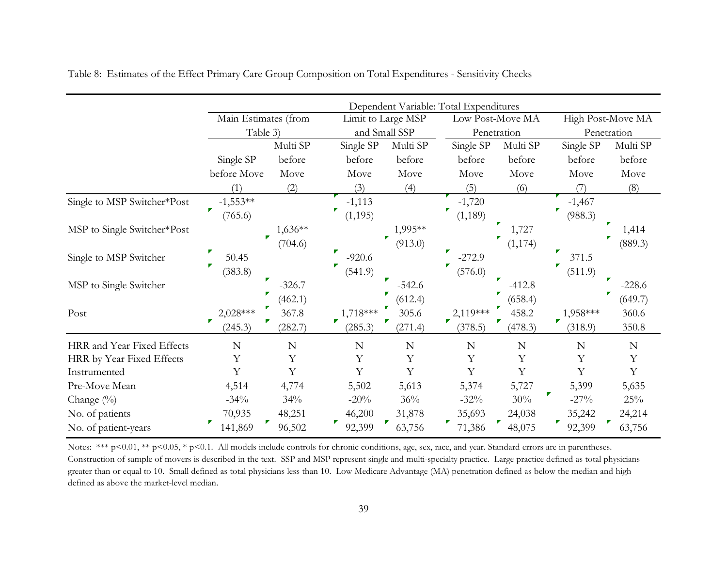|                             | Dependent Variable: Total Expenditures |             |                    |              |                  |          |                                                                                                                                                                                     |             |  |
|-----------------------------|----------------------------------------|-------------|--------------------|--------------|------------------|----------|-------------------------------------------------------------------------------------------------------------------------------------------------------------------------------------|-------------|--|
|                             | Main Estimates (from                   |             | Limit to Large MSP |              | Low Post-Move MA |          |                                                                                                                                                                                     |             |  |
|                             | Table 3)                               |             | and Small SSP      |              | Penetration      |          | High Post-Move MA<br>Penetration<br>Single SP<br>Multi SP<br>before<br>before<br>Move<br>Move<br>(6)<br>(8)<br>$-1,467$<br>(988.3)<br>1,727<br>1,414<br>(889.3)<br>371.5<br>(511.9) |             |  |
|                             |                                        | Multi SP    | Single SP          | Multi SP     | Single SP        | Multi SP |                                                                                                                                                                                     |             |  |
|                             | Single SP                              | before      | before             | before       | before           | before   |                                                                                                                                                                                     |             |  |
|                             | before Move                            | Move        | Move               | Move         | Move             | Move     |                                                                                                                                                                                     |             |  |
|                             | (1)                                    | (2)         | (3)                | (4)          | (5)              |          |                                                                                                                                                                                     |             |  |
| Single to MSP Switcher*Post | $-1,553**$                             |             | $-1,113$           |              | $-1,720$         |          |                                                                                                                                                                                     |             |  |
|                             | (765.6)                                |             | (1, 195)           |              | (1, 189)         |          |                                                                                                                                                                                     |             |  |
| MSP to Single Switcher*Post |                                        | 1,636**     |                    | 1,995**      |                  |          |                                                                                                                                                                                     |             |  |
|                             | <b>F</b>                               | (704.6)     |                    | ▼<br>(913.0) |                  | (1, 174) |                                                                                                                                                                                     |             |  |
| Single to MSP Switcher      | 50.45                                  |             | $-920.6$           |              | $-272.9$         |          |                                                                                                                                                                                     |             |  |
|                             | (383.8)                                |             | (541.9)            |              | (576.0)          |          |                                                                                                                                                                                     |             |  |
| MSP to Single Switcher      |                                        | $-326.7$    |                    | $-542.6$     |                  | $-412.8$ |                                                                                                                                                                                     | $-228.6$    |  |
|                             |                                        | (462.1)     |                    | (612.4)      |                  | (658.4)  |                                                                                                                                                                                     | (649.7)     |  |
| Post                        | P.<br>2,028***                         | 367.8       | 1,718 ***          | 305.6        | $2,119***$       | 458.2    | 1,958 ***                                                                                                                                                                           | 360.6       |  |
|                             | (245.3)                                | (282.7)     | (285.3)            | (271.4)      | (378.5)          | (478.3)  | (318.9)                                                                                                                                                                             | 350.8       |  |
| HRR and Year Fixed Effects  | N                                      | $\mathbb N$ | N                  | $\mathbf N$  | N                | N        | $\mathbf N$                                                                                                                                                                         | $\mathbf N$ |  |
| HRR by Year Fixed Effects   | Υ                                      | $\mathbf Y$ | Υ                  | Υ            | Υ                | Υ        | Υ                                                                                                                                                                                   | Y           |  |
| Instrumented                | Y                                      | Y           | Y                  | Y            | Y                | Y        | Y                                                                                                                                                                                   | Y           |  |
| Pre-Move Mean               | 4,514                                  | 4,774       | 5,502              | 5,613        | 5,374            | 5,727    | 5,399                                                                                                                                                                               | 5,635       |  |
| Change $(\%)$               | $-34%$                                 | 34%         | $-20%$             | 36%          | $-32%$           | 30%      | $-27\%$                                                                                                                                                                             | 25%         |  |
| No. of patients             | 70,935                                 | 48,251      | 46,200             | 31,878       | 35,693           | 24,038   | 35,242                                                                                                                                                                              | 24,214      |  |
| No. of patient-years        | 141,869                                | 96,502      | 92,399             | 63,756       | 71,386           | 48,075   | 92,399                                                                                                                                                                              | 63,756      |  |

Table 8: Estimates of the Effect Primary Care Group Composition on Total Expenditures - Sensitivity Checks

Notes: \*\*\* p<0.01, \*\* p<0.05, \* p<0.1. All models include controls for chronic conditions, age, sex, race, and year. Standard errors are in parentheses. Construction of sample of movers is described in the text. SSP and MSP represent single and multi-specialty practice. Large practice defined as total physicians greater than or equal to 10. Small defined as total physicians less than 10. Low Medicare Advantage (MA) penetration defined as below the median and high defined as above the market-level median.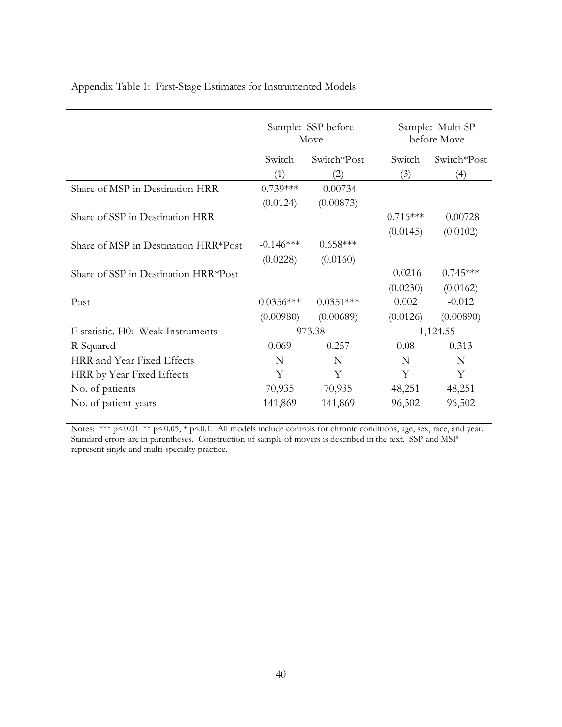|                                      |             | Sample: SSP before<br>Move | Sample: Multi-SP<br>before Move |             |  |
|--------------------------------------|-------------|----------------------------|---------------------------------|-------------|--|
|                                      | Switch      | Switch*Post                | Switch                          | Switch*Post |  |
|                                      | (1)         | (2)                        | (3)                             | (4)         |  |
| Share of MSP in Destination HRR      | $0.739***$  | $-0.00734$                 |                                 |             |  |
|                                      | (0.0124)    | (0.00873)                  |                                 |             |  |
| Share of SSP in Destination HRR      |             |                            | $0.716***$                      | $-0.00728$  |  |
|                                      |             |                            | (0.0145)                        | (0.0102)    |  |
| Share of MSP in Destination HRR*Post | $-0.146***$ | $0.658***$                 |                                 |             |  |
|                                      | (0.0228)    | (0.0160)                   |                                 |             |  |
| Share of SSP in Destination HRR*Post |             |                            | $-0.0216$                       | $0.745***$  |  |
|                                      |             |                            | (0.0230)                        | (0.0162)    |  |
| Post                                 | $0.0356***$ | $0.0351***$                | 0.002                           | $-0.012$    |  |
|                                      | (0.00980)   | (0.00689)                  | (0.0126)                        | (0.00890)   |  |
| F-statistic. H0: Weak Instruments    |             | 973.38                     |                                 | 1,124.55    |  |
| R-Squared                            | 0.069       | 0.257                      | 0.08                            | 0.313       |  |
| HRR and Year Fixed Effects           | N           | N                          | N                               | N           |  |
| HRR by Year Fixed Effects            | Υ           | Υ                          | Υ                               | Υ           |  |
| No. of patients                      | 70,935      | 70,935                     | 48,251                          | 48,251      |  |
| No. of patient-years                 | 141,869     | 141,869                    | 96,502                          | 96,502      |  |

Appendix Table 1: First-Stage Estimates for Instrumented Models

Notes: \*\*\* p<0.01, \*\* p<0.05, \* p<0.1. All models include controls for chronic conditions, age, sex, race, and year. Standard errors are in parentheses. Construction of sample of movers is described in the text. SSP and MSP represent single and multi-specialty practice.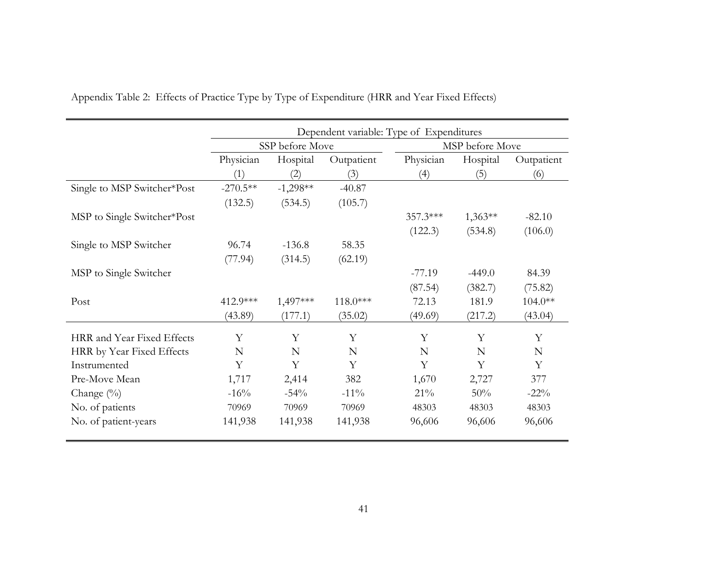|                             | Dependent variable: Type of Expenditures |                 |            |            |                 |            |  |  |
|-----------------------------|------------------------------------------|-----------------|------------|------------|-----------------|------------|--|--|
|                             |                                          | SSP before Move |            |            | MSP before Move |            |  |  |
|                             | Physician                                | Hospital        | Outpatient | Physician  | Hospital        | Outpatient |  |  |
|                             | (1)                                      | (2)             | (3)        | (4)        | (5)             | (6)        |  |  |
| Single to MSP Switcher*Post | $-270.5**$                               | $-1,298**$      | $-40.87$   |            |                 |            |  |  |
|                             | (132.5)                                  | (534.5)         | (105.7)    |            |                 |            |  |  |
| MSP to Single Switcher*Post |                                          |                 |            | $357.3***$ | $1,363**$       | $-82.10$   |  |  |
|                             |                                          |                 |            | (122.3)    | (534.8)         | (106.0)    |  |  |
| Single to MSP Switcher      | 96.74                                    | $-136.8$        | 58.35      |            |                 |            |  |  |
|                             | (77.94)                                  | (314.5)         | (62.19)    |            |                 |            |  |  |
| MSP to Single Switcher      |                                          |                 |            | $-77.19$   | $-449.0$        | 84.39      |  |  |
|                             |                                          |                 |            | (87.54)    | (382.7)         | (75.82)    |  |  |
| Post                        | 412.9***                                 | 1,497***        | $118.0***$ | 72.13      | 181.9           | $104.0**$  |  |  |
|                             | (43.89)                                  | (177.1)         | (35.02)    | (49.69)    | (217.2)         | (43.04)    |  |  |
| HRR and Year Fixed Effects  | Y                                        | Y               | Y          | Y          | Y               | Y          |  |  |
| HRR by Year Fixed Effects   | N                                        | N               | N          | N          | N               | N          |  |  |
| Instrumented                | Y                                        | Y               | Y          | Y          | Y               | Y          |  |  |
| Pre-Move Mean               | 1,717                                    | 2,414           | 382        | 1,670      | 2,727           | 377        |  |  |
| Change (%)                  | $-16\%$                                  | $-54%$          | $-11\%$    | 21%        | 50%             | $-22\%$    |  |  |
| No. of patients             | 70969                                    | 70969           | 70969      | 48303      | 48303           | 48303      |  |  |
| No. of patient-years        | 141,938                                  | 141,938         | 141,938    | 96,606     | 96,606          | 96,606     |  |  |

Appendix Table 2: Effects of Practice Type by Type of Expenditure (HRR and Year Fixed Effects)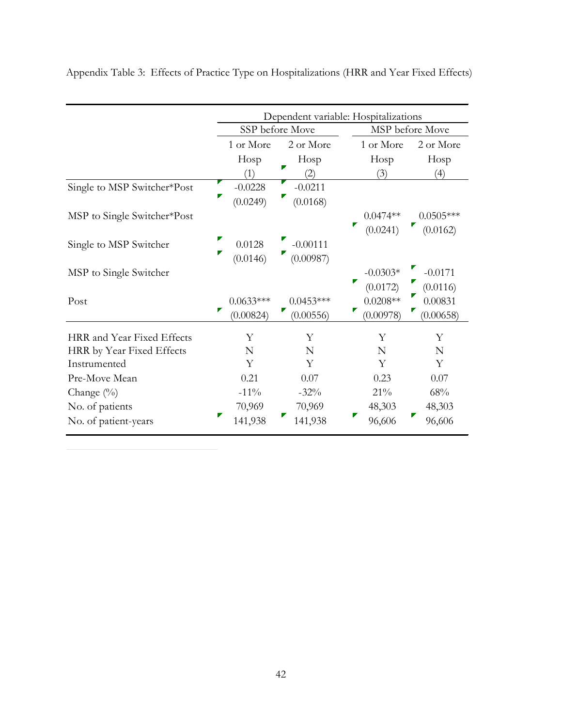|                             | Dependent variable: Hospitalizations |                 |            |                 |  |
|-----------------------------|--------------------------------------|-----------------|------------|-----------------|--|
|                             |                                      | SSP before Move |            | MSP before Move |  |
|                             | 1 or More                            | 2 or More       | 1 or More  | 2 or More       |  |
|                             | Hosp                                 | Hosp            | Hosp       | Hosp            |  |
|                             | (1)                                  | 2)              | (3)        | (4)             |  |
| Single to MSP Switcher*Post | $-0.0228$                            | $-0.0211$       |            |                 |  |
|                             | (0.0249)                             | ◤<br>(0.0168)   |            |                 |  |
| MSP to Single Switcher*Post |                                      |                 | $0.0474**$ | $0.0505***$     |  |
|                             |                                      |                 | (0.0241)   | (0.0162)        |  |
| Single to MSP Switcher      | 0.0128                               | $-0.00111$      |            |                 |  |
|                             | ▛<br>(0.0146)                        | (0.00987)       |            |                 |  |
| MSP to Single Switcher      |                                      |                 | $-0.0303*$ | $-0.0171$       |  |
|                             |                                      |                 | (0.0172)   | (0.0116)        |  |
| Post                        | $0.0633***$                          | $0.0453***$     | $0.0208**$ | 0.00831         |  |
|                             | ▛<br>(0.00824)                       | (0.00556)       | (0.00978)  | (0.00658)       |  |
| HRR and Year Fixed Effects  | Y                                    | Y               | Y          | Υ               |  |
| HRR by Year Fixed Effects   | N                                    | N               | N          | N               |  |
| Instrumented                | Y                                    | Y               | Y          | Y               |  |
| Pre-Move Mean               | 0.21                                 | 0.07            | 0.23       | 0.07            |  |
| Change $(\%)$               | $-11\%$                              | $-32\%$         | 21%        | 68%             |  |
| No. of patients             | 70,969                               | 70,969          | 48,303     | 48,303          |  |
| No. of patient-years        | 141,938                              | 141,938         | 96,606     | 96,606          |  |

Appendix Table 3: Effects of Practice Type on Hospitalizations (HRR and Year Fixed Effects)